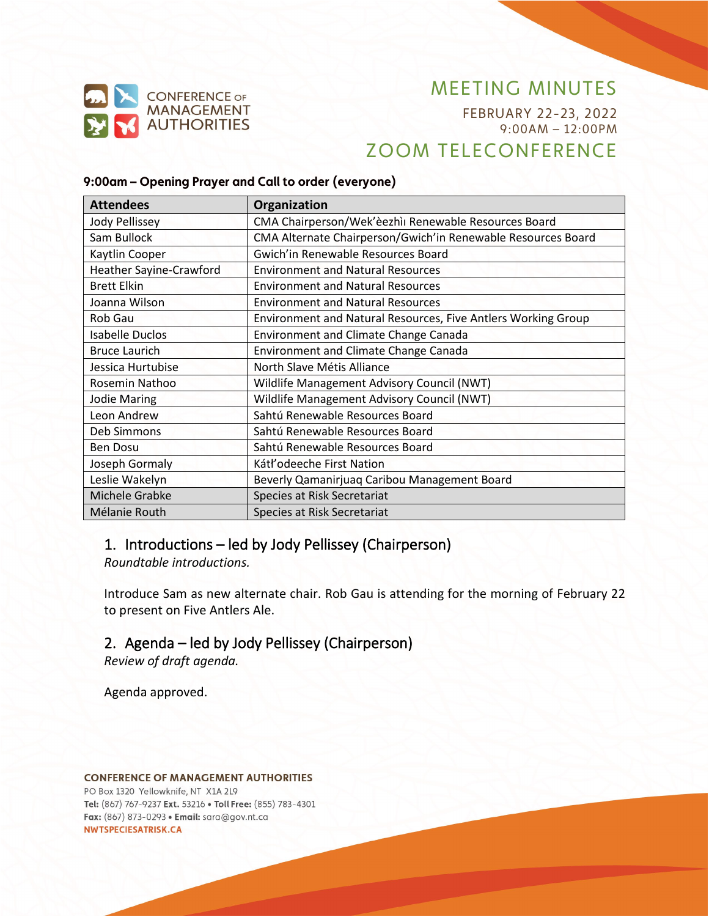

FEBRUARY 22-23, 2022 9:00AM – 12:00PM ZOOM TELECONFERENCE

#### **9:00am – Opening Prayer and Call to order (everyone)**

| <b>Attendees</b>                                     | Organization                                                  |
|------------------------------------------------------|---------------------------------------------------------------|
| Jody Pellissey                                       | CMA Chairperson/Wek'èezhìi Renewable Resources Board          |
| Sam Bullock                                          | CMA Alternate Chairperson/Gwich'in Renewable Resources Board  |
| Gwich'in Renewable Resources Board<br>Kaytlin Cooper |                                                               |
| <b>Heather Sayine-Crawford</b>                       | <b>Environment and Natural Resources</b>                      |
| <b>Brett Elkin</b>                                   | <b>Environment and Natural Resources</b>                      |
| Joanna Wilson                                        | <b>Environment and Natural Resources</b>                      |
| Rob Gau                                              | Environment and Natural Resources, Five Antlers Working Group |
| <b>Isabelle Duclos</b>                               | <b>Environment and Climate Change Canada</b>                  |
| <b>Bruce Laurich</b>                                 | <b>Environment and Climate Change Canada</b>                  |
| Jessica Hurtubise                                    | North Slave Métis Alliance                                    |
| Rosemin Nathoo                                       | Wildlife Management Advisory Council (NWT)                    |
| <b>Jodie Maring</b>                                  | Wildlife Management Advisory Council (NWT)                    |
| Leon Andrew                                          | Sahtú Renewable Resources Board                               |
| Deb Simmons                                          | Sahtú Renewable Resources Board                               |
| <b>Ben Dosu</b>                                      | Sahtú Renewable Resources Board                               |
| Joseph Gormaly                                       | Kátł'odeeche First Nation                                     |
| Leslie Wakelyn                                       | Beverly Qamanirjuaq Caribou Management Board                  |
| Michele Grabke                                       | Species at Risk Secretariat                                   |
| Mélanie Routh                                        | Species at Risk Secretariat                                   |

### 1. Introductions – led by Jody Pellissey (Chairperson)

*Roundtable introductions.*

Introduce Sam as new alternate chair. Rob Gau is attending for the morning of February 22 to present on Five Antlers Ale.

### 2. Agenda – led by Jody Pellissey (Chairperson)

*Review of draft agenda.*

Agenda approved.

#### **CONFERENCE OF MANAGEMENT AUTHORITIES**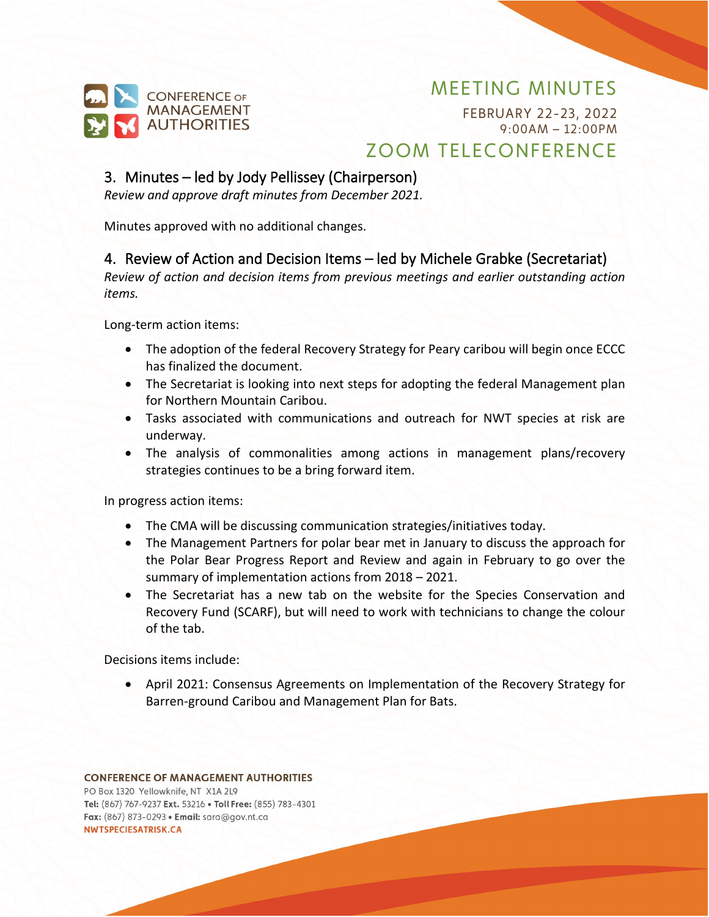

FEBRUARY 22-23, 2022 9:00AM – 12:00PM ZOOM TELECONFERENCE

### 3. Minutes – led by Jody Pellissey (Chairperson)

*Review and approve draft minutes from December 2021.*

Minutes approved with no additional changes.

### 4. Review of Action and Decision Items – led by Michele Grabke (Secretariat)

*Review of action and decision items from previous meetings and earlier outstanding action items.*

Long-term action items:

- The adoption of the federal Recovery Strategy for Peary caribou will begin once ECCC has finalized the document.
- The Secretariat is looking into next steps for adopting the federal Management plan for Northern Mountain Caribou.
- Tasks associated with communications and outreach for NWT species at risk are underway.
- The analysis of commonalities among actions in management plans/recovery strategies continues to be a bring forward item.

In progress action items:

- The CMA will be discussing communication strategies/initiatives today.
- The Management Partners for polar bear met in January to discuss the approach for the Polar Bear Progress Report and Review and again in February to go over the summary of implementation actions from 2018 – 2021.
- The Secretariat has a new tab on the website for the Species Conservation and Recovery Fund (SCARF), but will need to work with technicians to change the colour of the tab.

Decisions items include:

• April 2021: Consensus Agreements on Implementation of the Recovery Strategy for Barren-ground Caribou and Management Plan for Bats.

#### **CONFERENCE OF MANAGEMENT AUTHORITIES**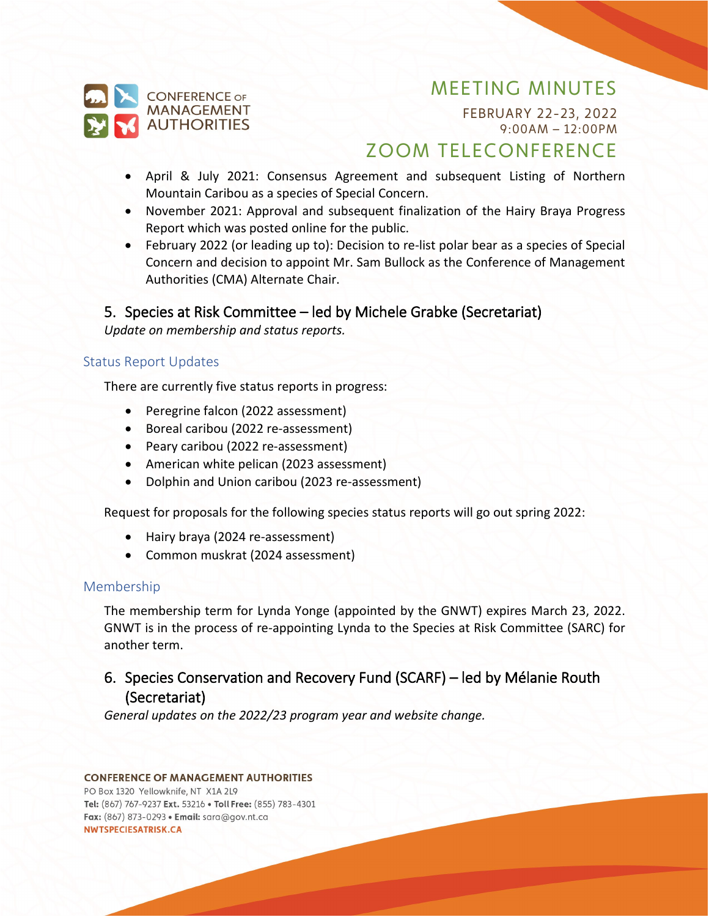

FEBRUARY 22-23, 2022 9:00AM – 12:00PM

# ZOOM TELECONFERENCE

- April & July 2021: Consensus Agreement and subsequent Listing of Northern Mountain Caribou as a species of Special Concern.
- November 2021: Approval and subsequent finalization of the Hairy Braya Progress Report which was posted online for the public.
- February 2022 (or leading up to): Decision to re-list polar bear as a species of Special Concern and decision to appoint Mr. Sam Bullock as the Conference of Management Authorities (CMA) Alternate Chair.

### 5. Species at Risk Committee – led by Michele Grabke (Secretariat)

*Update on membership and status reports.*

### Status Report Updates

There are currently five status reports in progress:

- Peregrine falcon (2022 assessment)
- Boreal caribou (2022 re-assessment)
- Peary caribou (2022 re-assessment)
- American white pelican (2023 assessment)
- Dolphin and Union caribou (2023 re-assessment)

Request for proposals for the following species status reports will go out spring 2022:

- Hairy braya (2024 re-assessment)
- Common muskrat (2024 assessment)

#### Membership

The membership term for Lynda Yonge (appointed by the GNWT) expires March 23, 2022. GNWT is in the process of re-appointing Lynda to the Species at Risk Committee (SARC) for another term.

### 6. Species Conservation and Recovery Fund (SCARF) – led by Mélanie Routh (Secretariat)

*General updates on the 2022/23 program year and website change.*

#### **CONFERENCE OF MANAGEMENT AUTHORITIES**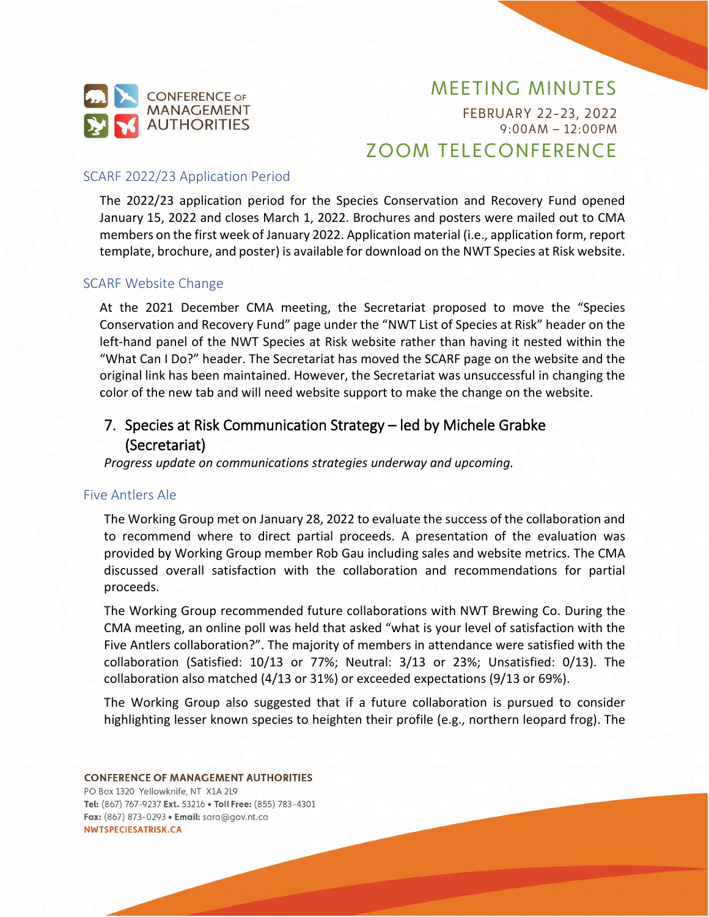

FEBRUARY 22-23, 2022 9:00AM – 12:00PM ZOOM TELECONFERENCE

#### SCARF 2022/23 Application Period

The 2022/23 application period for the Species Conservation and Recovery Fund opened January 15, 2022 and closes March 1, 2022. Brochures and posters were mailed out to CMA members on the first week of January 2022. Application material (i.e., application form, report template, brochure, and poster) is available for download on the NWT Species at Risk website.

#### SCARF Website Change

At the 2021 December CMA meeting, the Secretariat proposed to move the "Species Conservation and Recovery Fund" page under the "NWT List of Species at Risk" header on the left-hand panel of the NWT Species at Risk website rather than having it nested within the "What Can I Do?" header. The Secretariat has moved the SCARF page on the website and the original link has been maintained. However, the Secretariat was unsuccessful in changing the color of the new tab and will need website support to make the change on the website.

### 7. Species at Risk Communication Strategy – led by Michele Grabke (Secretariat)

*Progress update on communications strategies underway and upcoming.*

#### Five Antlers Ale

The Working Group met on January 28, 2022 to evaluate the success of the collaboration and to recommend where to direct partial proceeds. A presentation of the evaluation was provided by Working Group member Rob Gau including sales and website metrics. The CMA discussed overall satisfaction with the collaboration and recommendations for partial proceeds.

The Working Group recommended future collaborations with NWT Brewing Co. During the CMA meeting, an online poll was held that asked "what is your level of satisfaction with the Five Antlers collaboration?". The majority of members in attendance were satisfied with the collaboration (Satisfied: 10/13 or 77%; Neutral: 3/13 or 23%; Unsatisfied: 0/13). The collaboration also matched (4/13 or 31%) or exceeded expectations (9/13 or 69%).

The Working Group also suggested that if a future collaboration is pursued to consider highlighting lesser known species to heighten their profile (e.g., northern leopard frog). The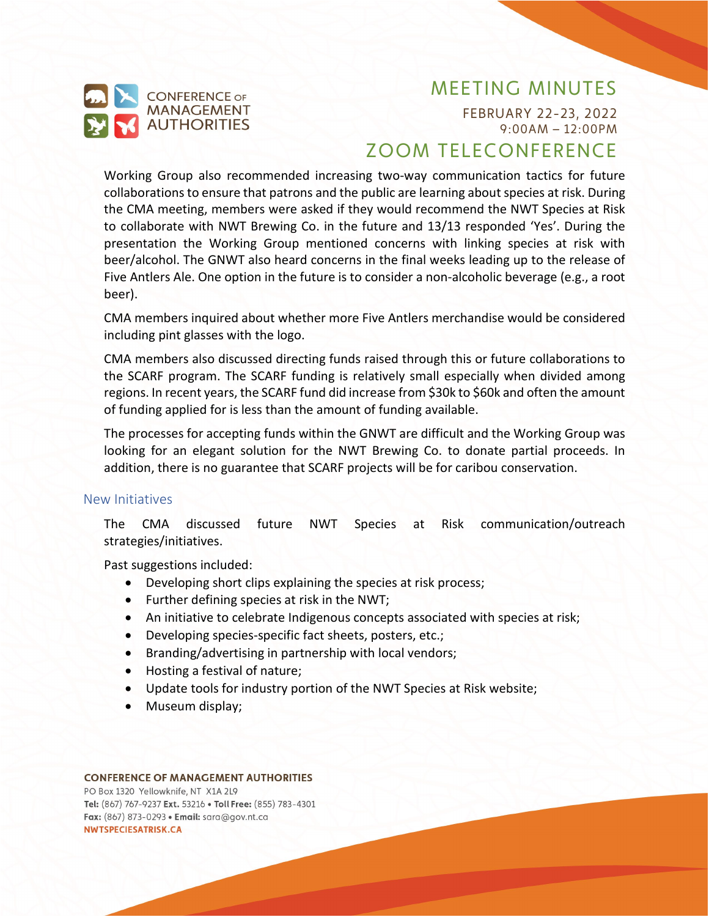

FEBRUARY 22-23, 2022 9:00AM – 12:00PM

# ZOOM TELECONFERENCE

Working Group also recommended increasing two-way communication tactics for future collaborations to ensure that patrons and the public are learning about species at risk. During the CMA meeting, members were asked if they would recommend the NWT Species at Risk to collaborate with NWT Brewing Co. in the future and 13/13 responded 'Yes'. During the presentation the Working Group mentioned concerns with linking species at risk with beer/alcohol. The GNWT also heard concerns in the final weeks leading up to the release of Five Antlers Ale. One option in the future is to consider a non-alcoholic beverage (e.g., a root beer).

CMA members inquired about whether more Five Antlers merchandise would be considered including pint glasses with the logo.

CMA members also discussed directing funds raised through this or future collaborations to the SCARF program. The SCARF funding is relatively small especially when divided among regions. In recent years, the SCARF fund did increase from \$30k to \$60k and often the amount of funding applied for is less than the amount of funding available.

The processes for accepting funds within the GNWT are difficult and the Working Group was looking for an elegant solution for the NWT Brewing Co. to donate partial proceeds. In addition, there is no guarantee that SCARF projects will be for caribou conservation.

#### New Initiatives

The CMA discussed future NWT Species at Risk communication/outreach strategies/initiatives.

Past suggestions included:

- Developing short clips explaining the species at risk process;
- Further defining species at risk in the NWT;
- An initiative to celebrate Indigenous concepts associated with species at risk;
- Developing species-specific fact sheets, posters, etc.;
- Branding/advertising in partnership with local vendors;
- Hosting a festival of nature;
- Update tools for industry portion of the NWT Species at Risk website;
- Museum display;

#### **CONFERENCE OF MANAGEMENT AUTHORITIES**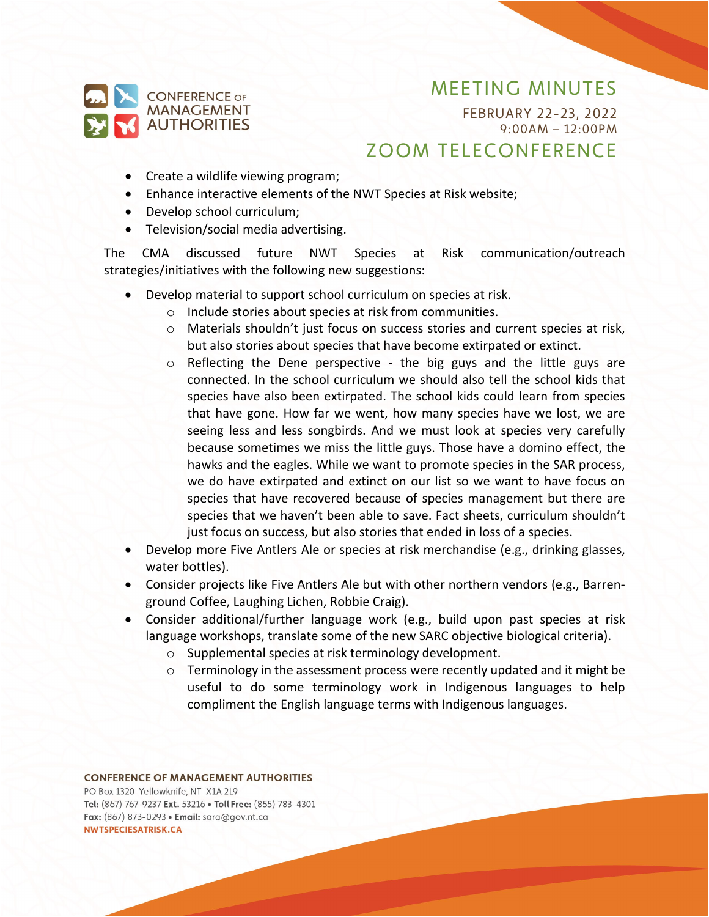

FEBRUARY 22-23, 2022 9:00AM – 12:00PM

# ZOOM TELECONFERENCE

- Create a wildlife viewing program;
- Enhance interactive elements of the NWT Species at Risk website;
- Develop school curriculum;
- Television/social media advertising.

The CMA discussed future NWT Species at Risk communication/outreach strategies/initiatives with the following new suggestions:

- Develop material to support school curriculum on species at risk.
	- o Include stories about species at risk from communities.
	- o Materials shouldn't just focus on success stories and current species at risk, but also stories about species that have become extirpated or extinct.
	- $\circ$  Reflecting the Dene perspective the big guys and the little guys are connected. In the school curriculum we should also tell the school kids that species have also been extirpated. The school kids could learn from species that have gone. How far we went, how many species have we lost, we are seeing less and less songbirds. And we must look at species very carefully because sometimes we miss the little guys. Those have a domino effect, the hawks and the eagles. While we want to promote species in the SAR process, we do have extirpated and extinct on our list so we want to have focus on species that have recovered because of species management but there are species that we haven't been able to save. Fact sheets, curriculum shouldn't just focus on success, but also stories that ended in loss of a species.
- Develop more Five Antlers Ale or species at risk merchandise (e.g., drinking glasses, water bottles).
- Consider projects like Five Antlers Ale but with other northern vendors (e.g., Barrenground Coffee, Laughing Lichen, Robbie Craig).
- Consider additional/further language work (e.g., build upon past species at risk language workshops, translate some of the new SARC objective biological criteria).
	- o Supplemental species at risk terminology development.
	- $\circ$  Terminology in the assessment process were recently updated and it might be useful to do some terminology work in Indigenous languages to help compliment the English language terms with Indigenous languages.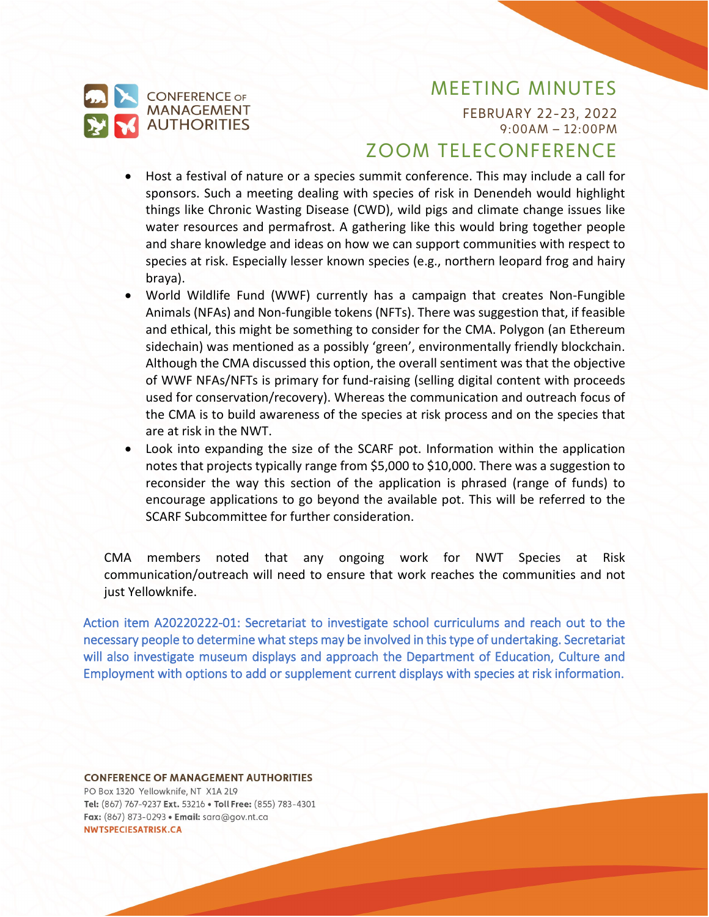

FEBRUARY 22-23, 2022 9:00AM – 12:00PM

## ZOOM TELECONFERENCE

- Host a festival of nature or a species summit conference. This may include a call for sponsors. Such a meeting dealing with species of risk in Denendeh would highlight things like Chronic Wasting Disease (CWD), wild pigs and climate change issues like water resources and permafrost. A gathering like this would bring together people and share knowledge and ideas on how we can support communities with respect to species at risk. Especially lesser known species (e.g., northern leopard frog and hairy braya).
- World Wildlife Fund (WWF) currently has a campaign that creates Non-Fungible Animals (NFAs) and Non-fungible tokens (NFTs). There was suggestion that, if feasible and ethical, this might be something to consider for the CMA. Polygon (an Ethereum sidechain) was mentioned as a possibly 'green', environmentally friendly blockchain. Although the CMA discussed this option, the overall sentiment was that the objective of WWF NFAs/NFTs is primary for fund-raising (selling digital content with proceeds used for conservation/recovery). Whereas the communication and outreach focus of the CMA is to build awareness of the species at risk process and on the species that are at risk in the NWT.
- Look into expanding the size of the SCARF pot. Information within the application notes that projects typically range from \$5,000 to \$10,000. There was a suggestion to reconsider the way this section of the application is phrased (range of funds) to encourage applications to go beyond the available pot. This will be referred to the SCARF Subcommittee for further consideration.

CMA members noted that any ongoing work for NWT Species at Risk communication/outreach will need to ensure that work reaches the communities and not just Yellowknife.

<span id="page-6-0"></span>Action item A20220222-01: Secretariat to investigate school curriculums and reach out to the necessary people to determine what steps may be involved in this type of undertaking. Secretariat will also investigate museum displays and approach the Department of Education, Culture and Employment with options to add or supplement current displays with species at risk information.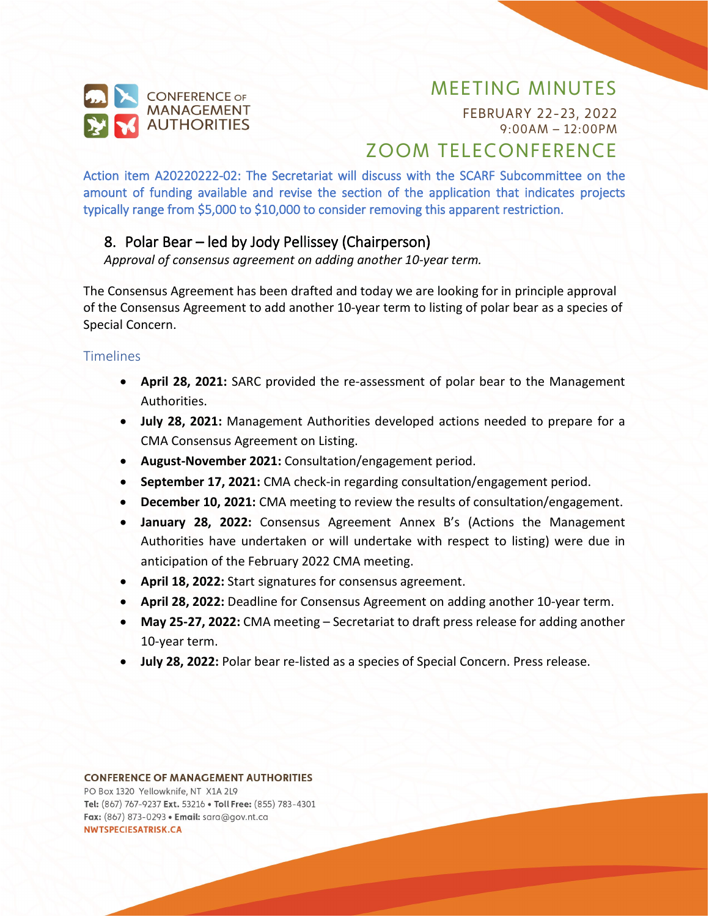

FEBRUARY 22-23, 2022 9:00AM – 12:00PM

# ZOOM TELECONFERENCE

<span id="page-7-0"></span>Action item A20220222-02: The Secretariat will discuss with the SCARF Subcommittee on the amount of funding available and revise the section of the application that indicates projects typically range from \$5,000 to \$10,000 to consider removing this apparent restriction.

### 8. Polar Bear – led by Jody Pellissey (Chairperson)

*Approval of consensus agreement on adding another 10-year term.*

The Consensus Agreement has been drafted and today we are looking for in principle approval of the Consensus Agreement to add another 10-year term to listing of polar bear as a species of Special Concern.

### **Timelines**

- **April 28, 2021:** SARC provided the re-assessment of polar bear to the Management Authorities.
- **July 28, 2021:** Management Authorities developed actions needed to prepare for a CMA Consensus Agreement on Listing.
- **August-November 2021:** Consultation/engagement period.
- **September 17, 2021:** CMA check-in regarding consultation/engagement period.
- **December 10, 2021:** CMA meeting to review the results of consultation/engagement.
- **January 28, 2022:** Consensus Agreement Annex B's (Actions the Management Authorities have undertaken or will undertake with respect to listing) were due in anticipation of the February 2022 CMA meeting.
- **April 18, 2022:** Start signatures for consensus agreement.
- **April 28, 2022:** Deadline for Consensus Agreement on adding another 10-year term.
- **May 25-27, 2022:** CMA meeting Secretariat to draft press release for adding another 10-year term.
- **July 28, 2022:** Polar bear re-listed as a species of Special Concern. Press release.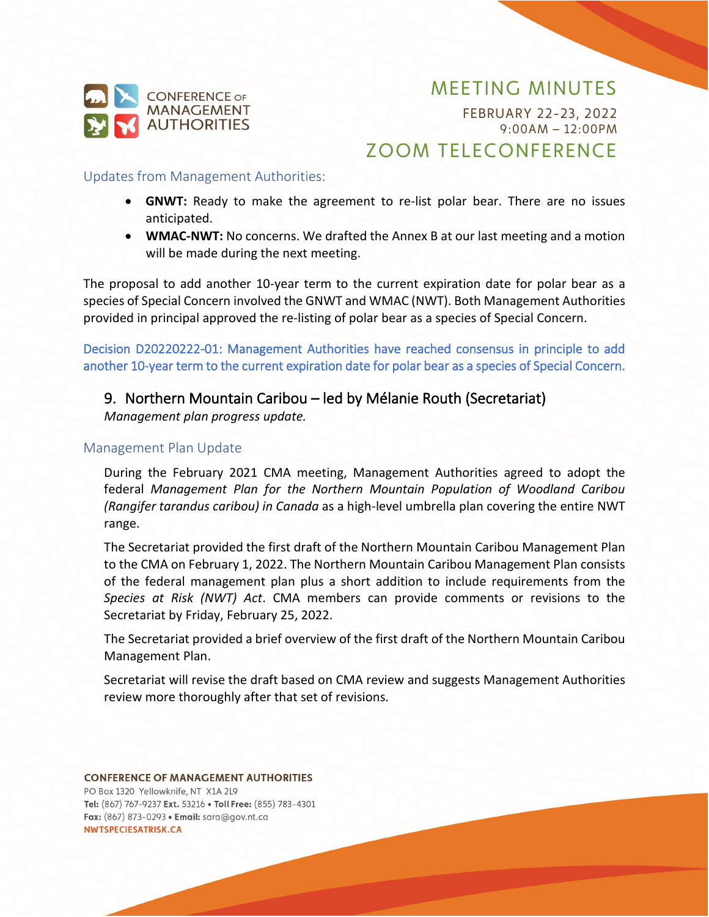

FEBRUARY 22-23, 2022 9:00AM – 12:00PM

## ZOOM TELECONFERENCE

#### Updates from Management Authorities:

- **GNWT:** Ready to make the agreement to re-list polar bear. There are no issues anticipated.
- **WMAC-NWT:** No concerns. We drafted the Annex B at our last meeting and a motion will be made during the next meeting.

The proposal to add another 10-year term to the current expiration date for polar bear as a species of Special Concern involved the GNWT and WMAC (NWT). Both Management Authorities provided in principal approved the re-listing of polar bear as a species of Special Concern.

<span id="page-8-0"></span>Decision D20220222-01: Management Authorities have reached consensus in principle to add another 10-year term to the current expiration date for polar bear as a species of Special Concern.

### 9. Northern Mountain Caribou – led by Mélanie Routh (Secretariat)

*Management plan progress update.*

### Management Plan Update

During the February 2021 CMA meeting, Management Authorities agreed to adopt the federal *Management Plan for the Northern Mountain Population of Woodland Caribou (Rangifer tarandus caribou) in Canada* as a high-level umbrella plan covering the entire NWT range.

The Secretariat provided the first draft of the Northern Mountain Caribou Management Plan to the CMA on February 1, 2022. The Northern Mountain Caribou Management Plan consists of the federal management plan plus a short addition to include requirements from the *Species at Risk (NWT) Act*. CMA members can provide comments or revisions to the Secretariat by Friday, February 25, 2022.

The Secretariat provided a brief overview of the first draft of the Northern Mountain Caribou Management Plan.

Secretariat will revise the draft based on CMA review and suggests Management Authorities review more thoroughly after that set of revisions.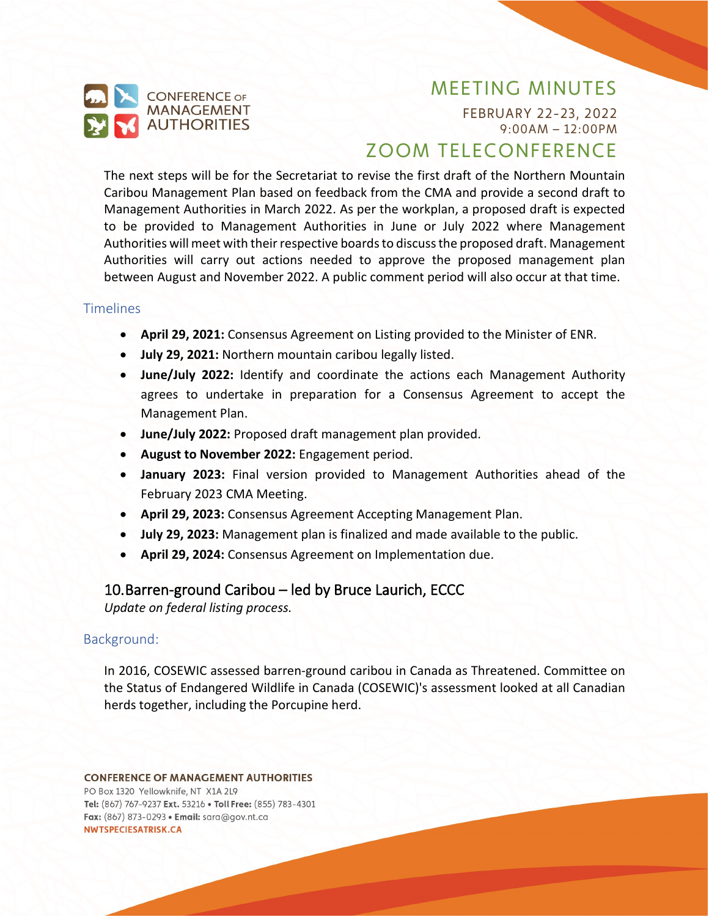

FEBRUARY 22-23, 2022 9:00AM – 12:00PM

# ZOOM TELECONFERENCE

The next steps will be for the Secretariat to revise the first draft of the Northern Mountain Caribou Management Plan based on feedback from the CMA and provide a second draft to Management Authorities in March 2022. As per the workplan, a proposed draft is expected to be provided to Management Authorities in June or July 2022 where Management Authorities will meet with their respective boards to discuss the proposed draft. Management Authorities will carry out actions needed to approve the proposed management plan between August and November 2022. A public comment period will also occur at that time.

#### **Timelines**

- **April 29, 2021:** Consensus Agreement on Listing provided to the Minister of ENR.
- **July 29, 2021:** Northern mountain caribou legally listed.
- **June/July 2022:** Identify and coordinate the actions each Management Authority agrees to undertake in preparation for a Consensus Agreement to accept the Management Plan.
- **June/July 2022:** Proposed draft management plan provided.
- **August to November 2022:** Engagement period.
- **January 2023:** Final version provided to Management Authorities ahead of the February 2023 CMA Meeting.
- **April 29, 2023:** Consensus Agreement Accepting Management Plan.
- **July 29, 2023:** Management plan is finalized and made available to the public.
- **April 29, 2024:** Consensus Agreement on Implementation due.

### 10.Barren-ground Caribou – led by Bruce Laurich, ECCC

*Update on federal listing process.*

#### Background:

In 2016, COSEWIC assessed barren-ground caribou in Canada as Threatened. Committee on the Status of Endangered Wildlife in Canada (COSEWIC)'s assessment looked at all Canadian herds together, including the Porcupine herd.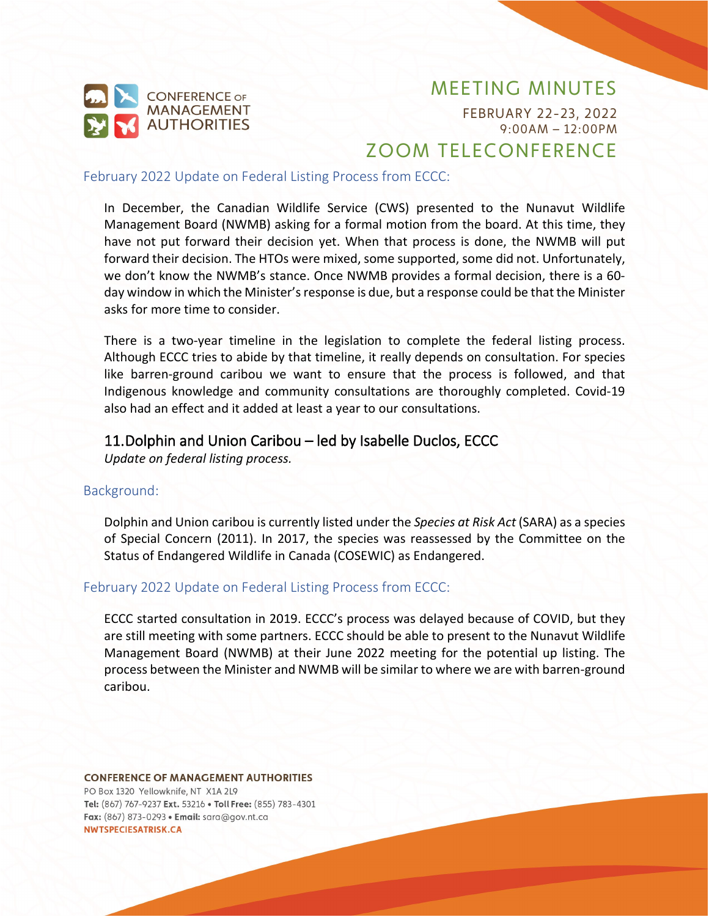

FEBRUARY 22-23, 2022 9:00AM – 12:00PM

# ZOOM TELECONFERENCE

February 2022 Update on Federal Listing Process from ECCC:

In December, the Canadian Wildlife Service (CWS) presented to the Nunavut Wildlife Management Board (NWMB) asking for a formal motion from the board. At this time, they have not put forward their decision yet. When that process is done, the NWMB will put forward their decision. The HTOs were mixed, some supported, some did not. Unfortunately, we don't know the NWMB's stance. Once NWMB provides a formal decision, there is a 60 day window in which the Minister's response is due, but a response could be that the Minister asks for more time to consider.

There is a two-year timeline in the legislation to complete the federal listing process. Although ECCC tries to abide by that timeline, it really depends on consultation. For species like barren-ground caribou we want to ensure that the process is followed, and that Indigenous knowledge and community consultations are thoroughly completed. Covid-19 also had an effect and it added at least a year to our consultations.

### 11.Dolphin and Union Caribou – led by Isabelle Duclos, ECCC

*Update on federal listing process.*

#### Background:

Dolphin and Union caribou is currently listed under the *Species at Risk Act* (SARA) as a species of Special Concern (2011). In 2017, the species was reassessed by the Committee on the Status of Endangered Wildlife in Canada (COSEWIC) as Endangered.

#### February 2022 Update on Federal Listing Process from ECCC:

ECCC started consultation in 2019. ECCC's process was delayed because of COVID, but they are still meeting with some partners. ECCC should be able to present to the Nunavut Wildlife Management Board (NWMB) at their June 2022 meeting for the potential up listing. The process between the Minister and NWMB will be similar to where we are with barren-ground caribou.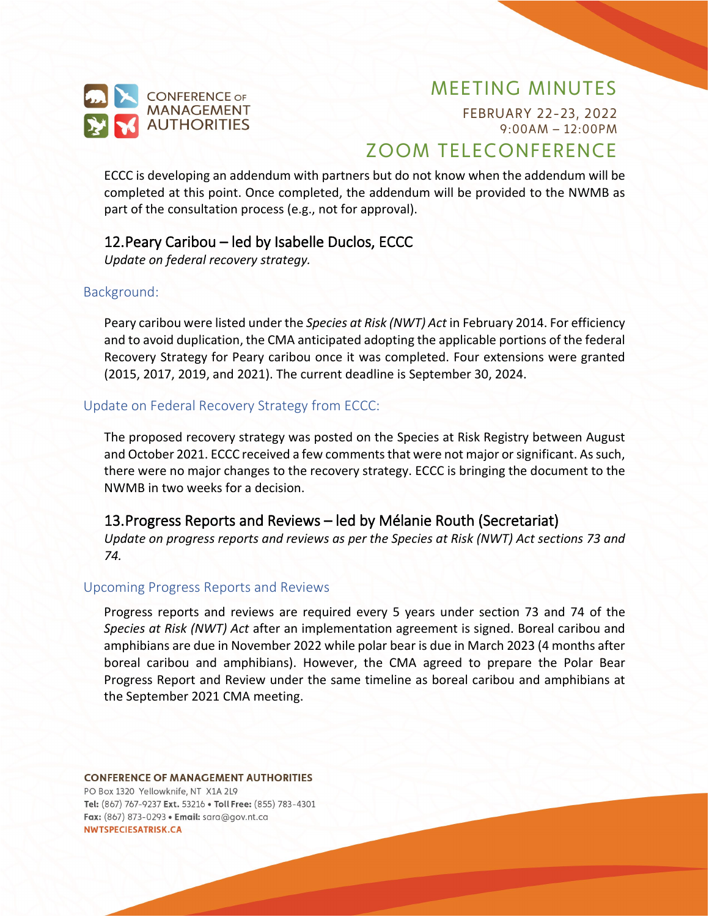

FEBRUARY 22-23, 2022 9:00AM – 12:00PM

# ZOOM TELECONFERENCE

ECCC is developing an addendum with partners but do not know when the addendum will be completed at this point. Once completed, the addendum will be provided to the NWMB as part of the consultation process (e.g., not for approval).

### 12.Peary Caribou – led by Isabelle Duclos, ECCC

*Update on federal recovery strategy.*

#### Background:

Peary caribou were listed under the *Species at Risk (NWT) Act* in February 2014. For efficiency and to avoid duplication, the CMA anticipated adopting the applicable portions of the federal Recovery Strategy for Peary caribou once it was completed. Four extensions were granted (2015, 2017, 2019, and 2021). The current deadline is September 30, 2024.

#### Update on Federal Recovery Strategy from ECCC:

The proposed recovery strategy was posted on the Species at Risk Registry between August and October 2021. ECCC received a few comments that were not major or significant. As such, there were no major changes to the recovery strategy. ECCC is bringing the document to the NWMB in two weeks for a decision.

### 13.Progress Reports and Reviews – led by Mélanie Routh (Secretariat)

*Update on progress reports and reviews as per the Species at Risk (NWT) Act sections 73 and 74.*

#### Upcoming Progress Reports and Reviews

Progress reports and reviews are required every 5 years under section 73 and 74 of the *Species at Risk (NWT) Act* after an implementation agreement is signed. Boreal caribou and amphibians are due in November 2022 while polar bear is due in March 2023 (4 months after boreal caribou and amphibians). However, the CMA agreed to prepare the Polar Bear Progress Report and Review under the same timeline as boreal caribou and amphibians at the September 2021 CMA meeting.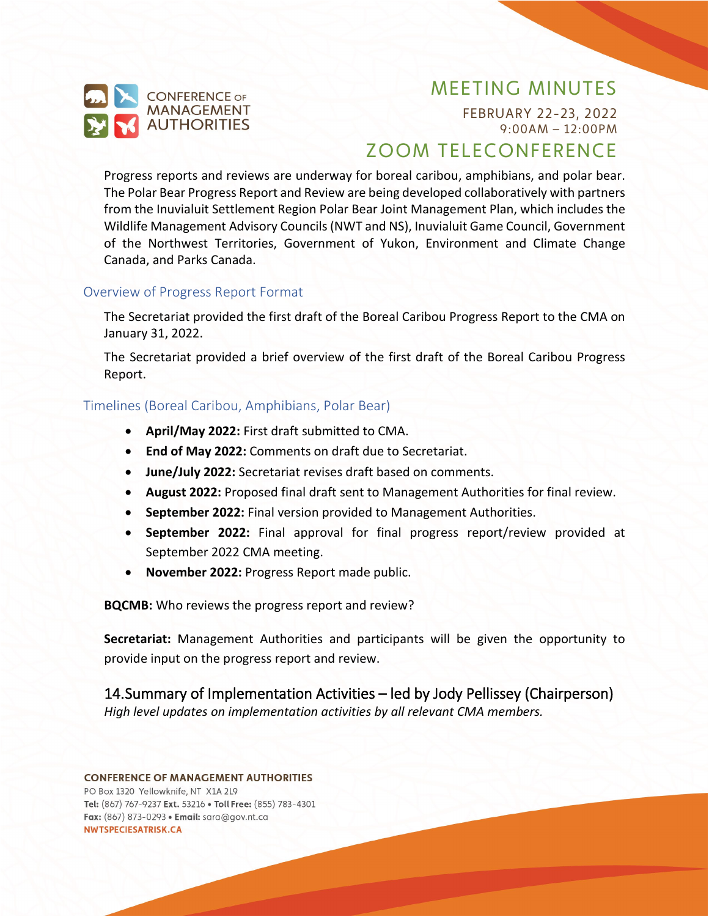

FEBRUARY 22-23, 2022 9:00AM – 12:00PM

# ZOOM TELECONFERENCE

Progress reports and reviews are underway for boreal caribou, amphibians, and polar bear. The Polar Bear Progress Report and Review are being developed collaboratively with partners from the Inuvialuit Settlement Region Polar Bear Joint Management Plan, which includes the Wildlife Management Advisory Councils(NWT and NS), Inuvialuit Game Council, Government of the Northwest Territories, Government of Yukon, Environment and Climate Change Canada, and Parks Canada.

#### Overview of Progress Report Format

The Secretariat provided the first draft of the Boreal Caribou Progress Report to the CMA on January 31, 2022.

The Secretariat provided a brief overview of the first draft of the Boreal Caribou Progress Report.

### Timelines (Boreal Caribou, Amphibians, Polar Bear)

- **April/May 2022:** First draft submitted to CMA.
- **End of May 2022:** Comments on draft due to Secretariat.
- **June/July 2022:** Secretariat revises draft based on comments.
- **August 2022:** Proposed final draft sent to Management Authorities for final review.
- **September 2022:** Final version provided to Management Authorities.
- **September 2022:** Final approval for final progress report/review provided at September 2022 CMA meeting.
- **November 2022:** Progress Report made public.

**BQCMB:** Who reviews the progress report and review?

**Secretariat:** Management Authorities and participants will be given the opportunity to provide input on the progress report and review.

14.Summary of Implementation Activities – led by Jody Pellissey (Chairperson) *High level updates on implementation activities by all relevant CMA members.*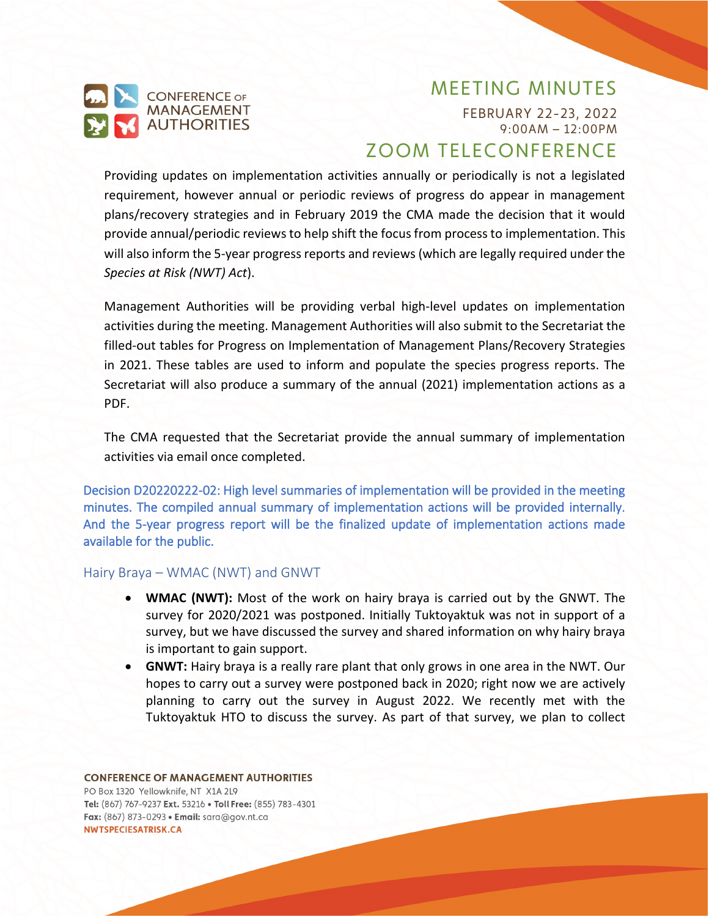

FEBRUARY 22-23, 2022 9:00AM – 12:00PM

# ZOOM TELECONFERENCE

Providing updates on implementation activities annually or periodically is not a legislated requirement, however annual or periodic reviews of progress do appear in management plans/recovery strategies and in February 2019 the CMA made the decision that it would provide annual/periodic reviews to help shift the focus from process to implementation. This will also inform the 5-year progress reports and reviews (which are legally required under the *Species at Risk (NWT) Act*).

Management Authorities will be providing verbal high-level updates on implementation activities during the meeting. Management Authorities will also submit to the Secretariat the filled-out tables for Progress on Implementation of Management Plans/Recovery Strategies in 2021. These tables are used to inform and populate the species progress reports. The Secretariat will also produce a summary of the annual (2021) implementation actions as a PDF.

The CMA requested that the Secretariat provide the annual summary of implementation activities via email once completed.

<span id="page-13-0"></span>Decision D20220222-02: High level summaries of implementation will be provided in the meeting minutes. The compiled annual summary of implementation actions will be provided internally. And the 5-year progress report will be the finalized update of implementation actions made available for the public.

#### Hairy Braya – WMAC (NWT) and GNWT

- **WMAC (NWT):** Most of the work on hairy braya is carried out by the GNWT. The survey for 2020/2021 was postponed. Initially Tuktoyaktuk was not in support of a survey, but we have discussed the survey and shared information on why hairy braya is important to gain support.
- **GNWT:** Hairy braya is a really rare plant that only grows in one area in the NWT. Our hopes to carry out a survey were postponed back in 2020; right now we are actively planning to carry out the survey in August 2022. We recently met with the Tuktoyaktuk HTO to discuss the survey. As part of that survey, we plan to collect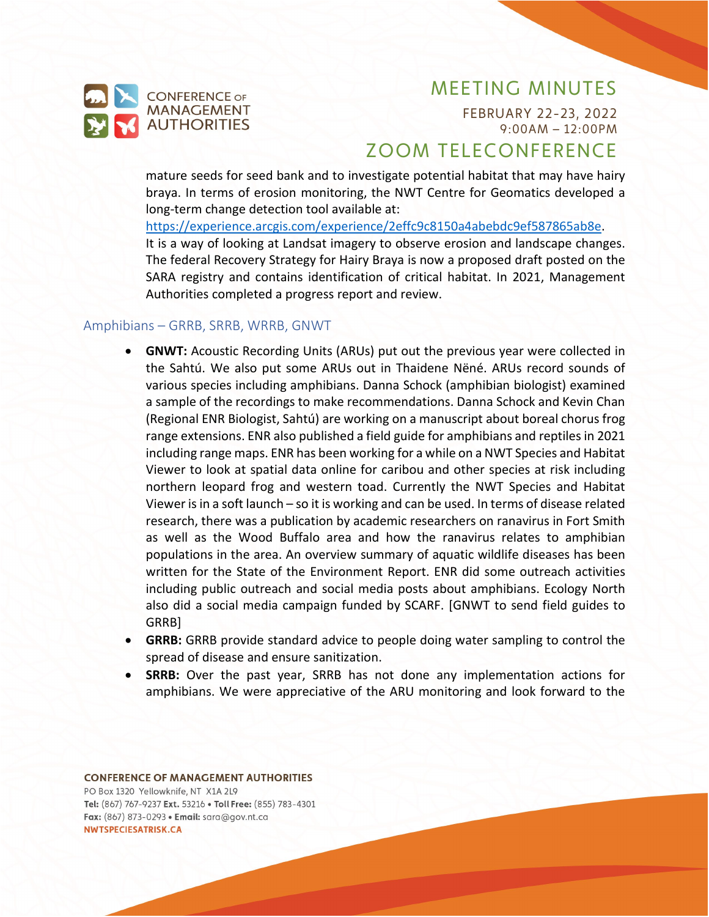

FEBRUARY 22-23, 2022 9:00AM – 12:00PM

# ZOOM TELECONFERENCE

mature seeds for seed bank and to investigate potential habitat that may have hairy braya. In terms of erosion monitoring, the NWT Centre for Geomatics developed a long-term change detection tool available at:

[https://experience.arcgis.com/experience/2effc9c8150a4abebdc9ef587865ab8e.](https://experience.arcgis.com/experience/2effc9c8150a4abebdc9ef587865ab8e) It is a way of looking at Landsat imagery to observe erosion and landscape changes. The federal Recovery Strategy for Hairy Braya is now a proposed draft posted on the SARA registry and contains identification of critical habitat. In 2021, Management Authorities completed a progress report and review.

#### Amphibians – GRRB, SRRB, WRRB, GNWT

- **GNWT:** Acoustic Recording Units (ARUs) put out the previous year were collected in the Sahtú. We also put some ARUs out in Thaidene Nëné. ARUs record sounds of various species including amphibians. Danna Schock (amphibian biologist) examined a sample of the recordings to make recommendations. Danna Schock and Kevin Chan (Regional ENR Biologist, Sahtú) are working on a manuscript about boreal chorus frog range extensions. ENR also published a field guide for amphibians and reptiles in 2021 including range maps. ENR has been working for a while on a NWT Species and Habitat Viewer to look at spatial data online for caribou and other species at risk including northern leopard frog and western toad. Currently the NWT Species and Habitat Viewer is in a soft launch – so it is working and can be used. In terms of disease related research, there was a publication by academic researchers on ranavirus in Fort Smith as well as the Wood Buffalo area and how the ranavirus relates to amphibian populations in the area. An overview summary of aquatic wildlife diseases has been written for the State of the Environment Report. ENR did some outreach activities including public outreach and social media posts about amphibians. Ecology North also did a social media campaign funded by SCARF. [GNWT to send field guides to GRRB]
- **GRRB:** GRRB provide standard advice to people doing water sampling to control the spread of disease and ensure sanitization.
- **SRRB:** Over the past year, SRRB has not done any implementation actions for amphibians. We were appreciative of the ARU monitoring and look forward to the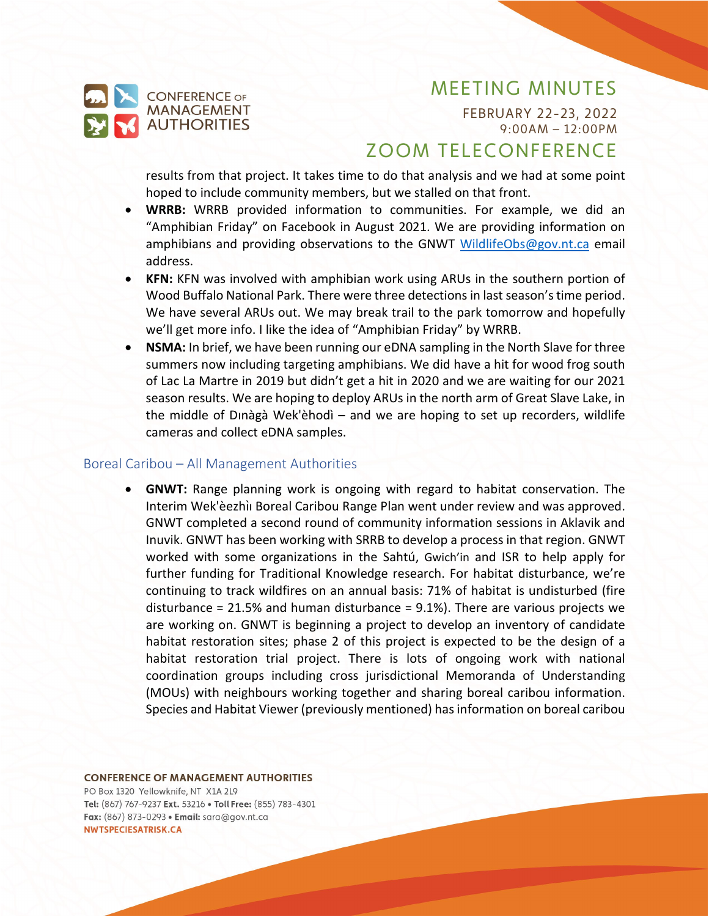

FEBRUARY 22-23, 2022 9:00AM – 12:00PM

# ZOOM TELECONFERENCE

results from that project. It takes time to do that analysis and we had at some point hoped to include community members, but we stalled on that front.

- **WRRB:** WRRB provided information to communities. For example, we did an "Amphibian Friday" on Facebook in August 2021. We are providing information on amphibians and providing observations to the GNWT [WildlifeObs@gov.nt.ca](mailto:WildlifeObs@gov.nt.ca) email address.
- **KFN:** KFN was involved with amphibian work using ARUs in the southern portion of Wood Buffalo National Park. There were three detections in last season'stime period. We have several ARUs out. We may break trail to the park tomorrow and hopefully we'll get more info. I like the idea of "Amphibian Friday" by WRRB.
- **NSMA:** In brief, we have been running our eDNA sampling in the North Slave for three summers now including targeting amphibians. We did have a hit for wood frog south of Lac La Martre in 2019 but didn't get a hit in 2020 and we are waiting for our 2021 season results. We are hoping to deploy ARUs in the north arm of Great Slave Lake, in the middle of Dınàgà Wek'èhodì – and we are hoping to set up recorders, wildlife cameras and collect eDNA samples.

#### Boreal Caribou – All Management Authorities

• **GNWT:** Range planning work is ongoing with regard to habitat conservation. The Interim Wek'èezhii Boreal Caribou Range Plan went under review and was approved. GNWT completed a second round of community information sessions in Aklavik and Inuvik. GNWT has been working with SRRB to develop a process in that region. GNWT worked with some organizations in the Sahtú, Gwich'in and ISR to help apply for further funding for Traditional Knowledge research. For habitat disturbance, we're continuing to track wildfires on an annual basis: 71% of habitat is undisturbed (fire disturbance = 21.5% and human disturbance = 9.1%). There are various projects we are working on. GNWT is beginning a project to develop an inventory of candidate habitat restoration sites; phase 2 of this project is expected to be the design of a habitat restoration trial project. There is lots of ongoing work with national coordination groups including cross jurisdictional Memoranda of Understanding (MOUs) with neighbours working together and sharing boreal caribou information. Species and Habitat Viewer (previously mentioned) has information on boreal caribou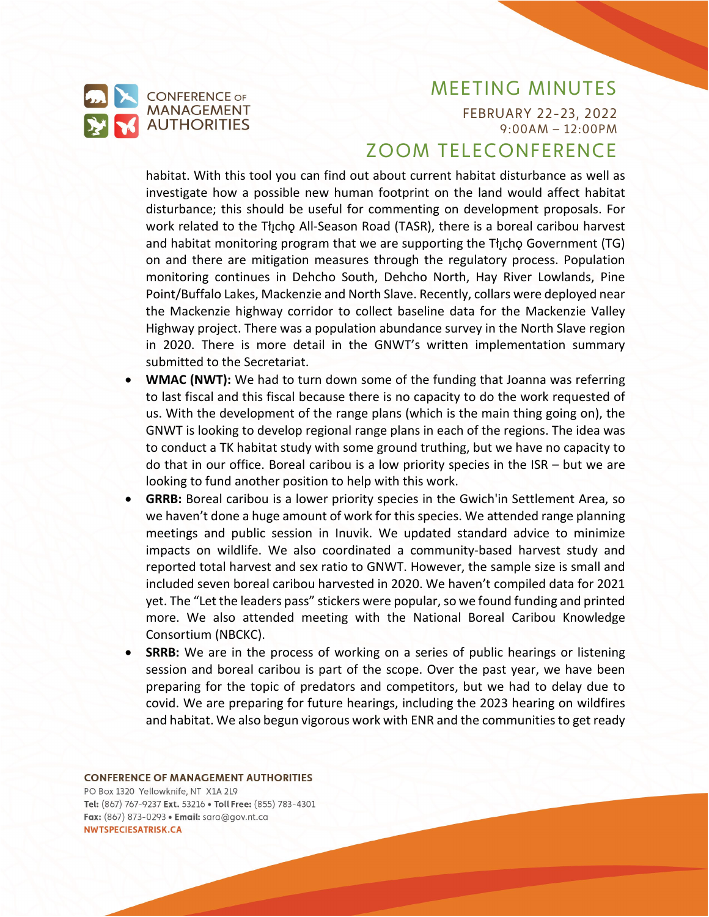

FEBRUARY 22-23, 2022 9:00AM – 12:00PM

## ZOOM TELECONFERENCE

habitat. With this tool you can find out about current habitat disturbance as well as investigate how a possible new human footprint on the land would affect habitat disturbance; this should be useful for commenting on development proposals. For work related to the Tłicho All-Season Road (TASR), there is a boreal caribou harvest and habitat monitoring program that we are supporting the Tłucho Government (TG) on and there are mitigation measures through the regulatory process. Population monitoring continues in Dehcho South, Dehcho North, Hay River Lowlands, Pine Point/Buffalo Lakes, Mackenzie and North Slave. Recently, collars were deployed near the Mackenzie highway corridor to collect baseline data for the Mackenzie Valley Highway project. There was a population abundance survey in the North Slave region in 2020. There is more detail in the GNWT's written implementation summary submitted to the Secretariat.

- **WMAC (NWT):** We had to turn down some of the funding that Joanna was referring to last fiscal and this fiscal because there is no capacity to do the work requested of us. With the development of the range plans (which is the main thing going on), the GNWT is looking to develop regional range plans in each of the regions. The idea was to conduct a TK habitat study with some ground truthing, but we have no capacity to do that in our office. Boreal caribou is a low priority species in the ISR – but we are looking to fund another position to help with this work.
- **GRRB:** Boreal caribou is a lower priority species in the Gwich'in Settlement Area, so we haven't done a huge amount of work for this species. We attended range planning meetings and public session in Inuvik. We updated standard advice to minimize impacts on wildlife. We also coordinated a community-based harvest study and reported total harvest and sex ratio to GNWT. However, the sample size is small and included seven boreal caribou harvested in 2020. We haven't compiled data for 2021 yet. The "Let the leaders pass" stickers were popular, so we found funding and printed more. We also attended meeting with the National Boreal Caribou Knowledge Consortium (NBCKC).
- **SRRB:** We are in the process of working on a series of public hearings or listening session and boreal caribou is part of the scope. Over the past year, we have been preparing for the topic of predators and competitors, but we had to delay due to covid. We are preparing for future hearings, including the 2023 hearing on wildfires and habitat. We also begun vigorous work with ENR and the communities to get ready

**CONFERENCE OF MANAGEMENT AUTHORITIES**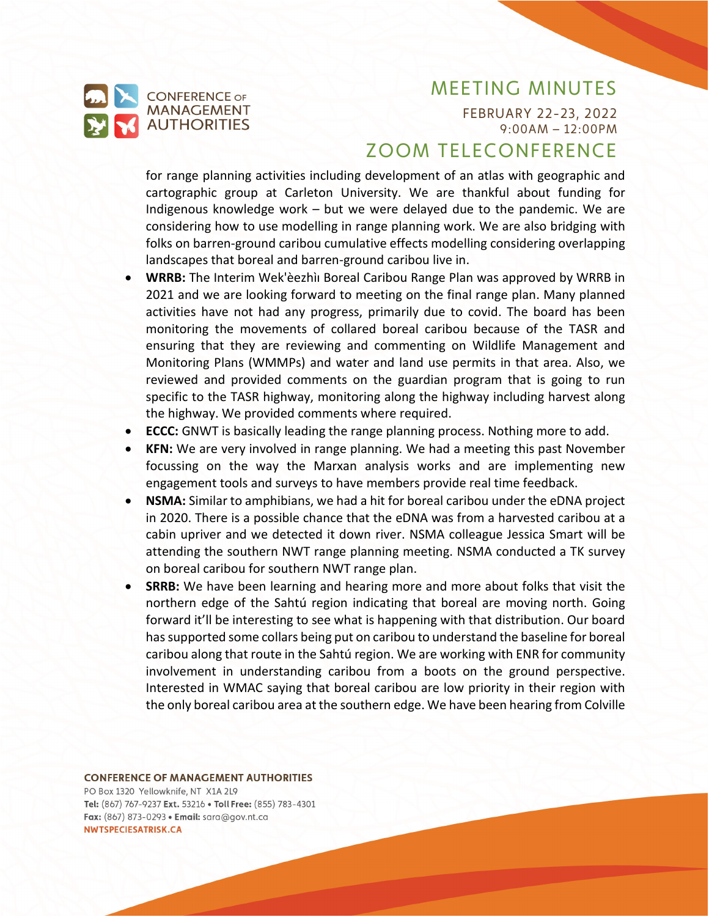

FEBRUARY 22-23, 2022 9:00AM – 12:00PM

# ZOOM TELECONFERENCE

for range planning activities including development of an atlas with geographic and cartographic group at Carleton University. We are thankful about funding for Indigenous knowledge work – but we were delayed due to the pandemic. We are considering how to use modelling in range planning work. We are also bridging with folks on barren-ground caribou cumulative effects modelling considering overlapping landscapes that boreal and barren-ground caribou live in.

- **WRRB:** The Interim Wek'eezhil Boreal Caribou Range Plan was approved by WRRB in 2021 and we are looking forward to meeting on the final range plan. Many planned activities have not had any progress, primarily due to covid. The board has been monitoring the movements of collared boreal caribou because of the TASR and ensuring that they are reviewing and commenting on Wildlife Management and Monitoring Plans (WMMPs) and water and land use permits in that area. Also, we reviewed and provided comments on the guardian program that is going to run specific to the TASR highway, monitoring along the highway including harvest along the highway. We provided comments where required.
- **ECCC:** GNWT is basically leading the range planning process. Nothing more to add.
- **KFN:** We are very involved in range planning. We had a meeting this past November focussing on the way the Marxan analysis works and are implementing new engagement tools and surveys to have members provide real time feedback.
- **NSMA:** Similar to amphibians, we had a hit for boreal caribou under the eDNA project in 2020. There is a possible chance that the eDNA was from a harvested caribou at a cabin upriver and we detected it down river. NSMA colleague Jessica Smart will be attending the southern NWT range planning meeting. NSMA conducted a TK survey on boreal caribou for southern NWT range plan.
- **SRRB:** We have been learning and hearing more and more about folks that visit the northern edge of the Sahtú region indicating that boreal are moving north. Going forward it'll be interesting to see what is happening with that distribution. Our board has supported some collars being put on caribou to understand the baseline for boreal caribou along that route in the Sahtú region. We are working with ENR for community involvement in understanding caribou from a boots on the ground perspective. Interested in WMAC saying that boreal caribou are low priority in their region with the only boreal caribou area at the southern edge. We have been hearing from Colville

#### **CONFERENCE OF MANAGEMENT AUTHORITIES**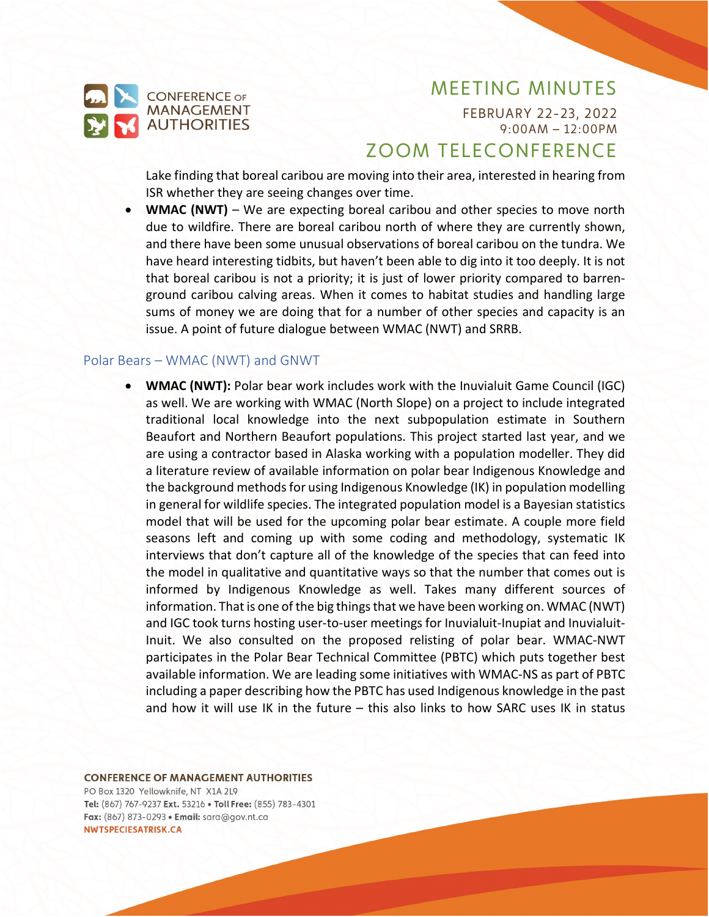

FEBRUARY 22-23, 2022 9:00AM – 12:00PM

# ZOOM TELECONFERENCE

Lake finding that boreal caribou are moving into their area, interested in hearing from ISR whether they are seeing changes over time.

• **WMAC (NWT)** – We are expecting boreal caribou and other species to move north due to wildfire. There are boreal caribou north of where they are currently shown, and there have been some unusual observations of boreal caribou on the tundra. We have heard interesting tidbits, but haven't been able to dig into it too deeply. It is not that boreal caribou is not a priority; it is just of lower priority compared to barrenground caribou calving areas. When it comes to habitat studies and handling large sums of money we are doing that for a number of other species and capacity is an issue. A point of future dialogue between WMAC (NWT) and SRRB.

### Polar Bears – WMAC (NWT) and GNWT

• **WMAC (NWT):** Polar bear work includes work with the Inuvialuit Game Council (IGC) as well. We are working with WMAC (North Slope) on a project to include integrated traditional local knowledge into the next subpopulation estimate in Southern Beaufort and Northern Beaufort populations. This project started last year, and we are using a contractor based in Alaska working with a population modeller. They did a literature review of available information on polar bear Indigenous Knowledge and the background methods for using Indigenous Knowledge (IK) in population modelling in general for wildlife species. The integrated population model is a Bayesian statistics model that will be used for the upcoming polar bear estimate. A couple more field seasons left and coming up with some coding and methodology, systematic IK interviews that don't capture all of the knowledge of the species that can feed into the model in qualitative and quantitative ways so that the number that comes out is informed by Indigenous Knowledge as well. Takes many different sources of information. That is one of the big things that we have been working on. WMAC (NWT) and IGC took turns hosting user-to-user meetings for Inuvialuit-Inupiat and Inuvialuit-Inuit. We also consulted on the proposed relisting of polar bear. WMAC-NWT participates in the Polar Bear Technical Committee (PBTC) which puts together best available information. We are leading some initiatives with WMAC-NS as part of PBTC including a paper describing how the PBTC has used Indigenous knowledge in the past and how it will use IK in the future – this also links to how SARC uses IK in status

**CONFERENCE OF MANAGEMENT AUTHORITIES**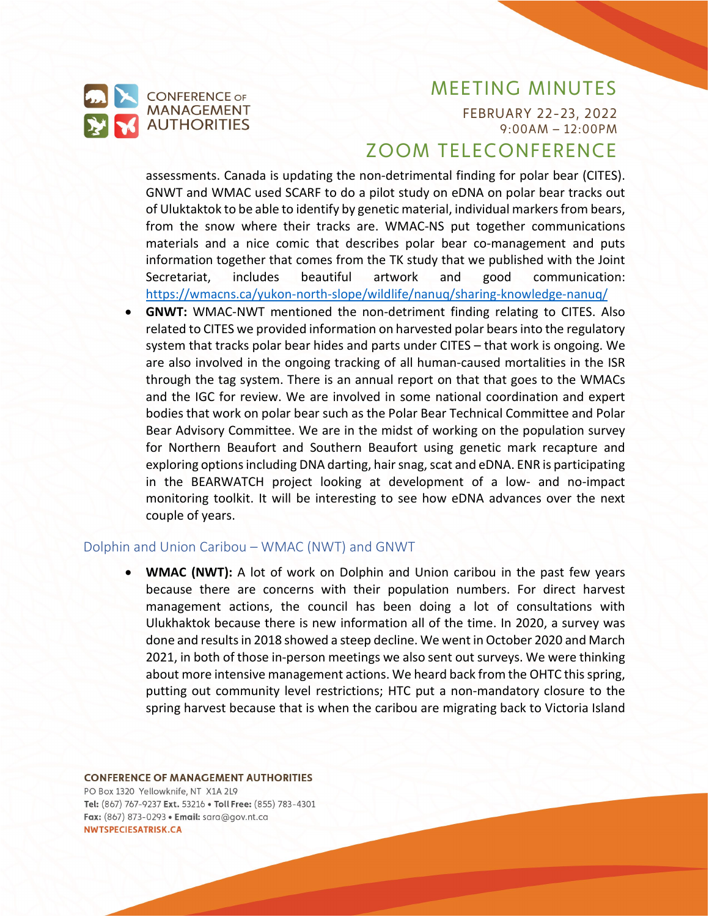

FEBRUARY 22-23, 2022 9:00AM – 12:00PM

## ZOOM TELECONFERENCE

assessments. Canada is updating the non-detrimental finding for polar bear (CITES). GNWT and WMAC used SCARF to do a pilot study on eDNA on polar bear tracks out of Uluktaktok to be able to identify by genetic material, individual markers from bears, from the snow where their tracks are. WMAC-NS put together communications materials and a nice comic that describes polar bear co-management and puts information together that comes from the TK study that we published with the Joint Secretariat, includes beautiful artwork and good communication: https://wmacns.ca/yukon-north-[slope/wildlife/nanuq/sharing](https://wmacns.ca/yukon-north-slope/wildlife/nanuq/sharing-knowledge-nanuq/)-knowledge-nanuq/

• **GNWT:** WMAC-NWT mentioned the non-detriment finding relating to CITES. Also related to CITES we provided information on harvested polar bears into the regulatory system that tracks polar bear hides and parts under CITES – that work is ongoing. We are also involved in the ongoing tracking of all human-caused mortalities in the ISR through the tag system. There is an annual report on that that goes to the WMACs and the IGC for review. We are involved in some national coordination and expert bodies that work on polar bear such as the Polar Bear Technical Committee and Polar Bear Advisory Committee. We are in the midst of working on the population survey for Northern Beaufort and Southern Beaufort using genetic mark recapture and exploring options including DNA darting, hair snag, scat and eDNA. ENR is participating in the BEARWATCH project looking at development of a low- and no-impact monitoring toolkit. It will be interesting to see how eDNA advances over the next couple of years.

#### Dolphin and Union Caribou – WMAC (NWT) and GNWT

• **WMAC (NWT):** A lot of work on Dolphin and Union caribou in the past few years because there are concerns with their population numbers. For direct harvest management actions, the council has been doing a lot of consultations with Ulukhaktok because there is new information all of the time. In 2020, a survey was done and results in 2018 showed a steep decline. We went in October 2020 and March 2021, in both of those in-person meetings we also sent out surveys. We were thinking about more intensive management actions. We heard back from the OHTC this spring, putting out community level restrictions; HTC put a non-mandatory closure to the spring harvest because that is when the caribou are migrating back to Victoria Island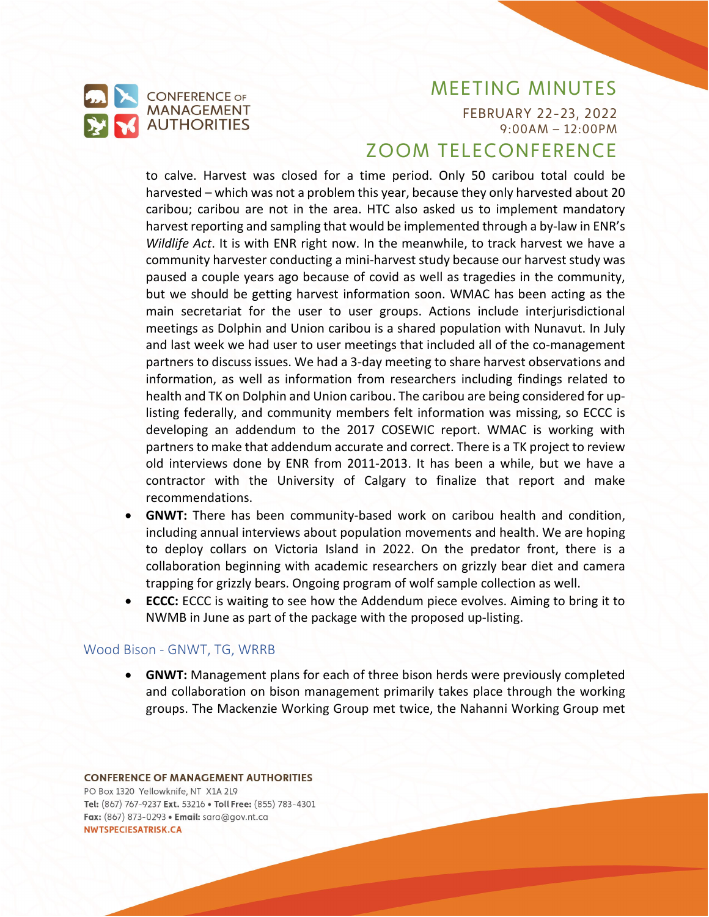

FEBRUARY 22-23, 2022 9:00AM – 12:00PM

## ZOOM TELECONFERENCE

to calve. Harvest was closed for a time period. Only 50 caribou total could be harvested – which was not a problem this year, because they only harvested about 20 caribou; caribou are not in the area. HTC also asked us to implement mandatory harvest reporting and sampling that would be implemented through a by-law in ENR's *Wildlife Act*. It is with ENR right now. In the meanwhile, to track harvest we have a community harvester conducting a mini-harvest study because our harvest study was paused a couple years ago because of covid as well as tragedies in the community, but we should be getting harvest information soon. WMAC has been acting as the main secretariat for the user to user groups. Actions include interjurisdictional meetings as Dolphin and Union caribou is a shared population with Nunavut. In July and last week we had user to user meetings that included all of the co-management partners to discuss issues. We had a 3-day meeting to share harvest observations and information, as well as information from researchers including findings related to health and TK on Dolphin and Union caribou. The caribou are being considered for uplisting federally, and community members felt information was missing, so ECCC is developing an addendum to the 2017 COSEWIC report. WMAC is working with partners to make that addendum accurate and correct. There is a TK project to review old interviews done by ENR from 2011-2013. It has been a while, but we have a contractor with the University of Calgary to finalize that report and make recommendations.

- **GNWT:** There has been community-based work on caribou health and condition, including annual interviews about population movements and health. We are hoping to deploy collars on Victoria Island in 2022. On the predator front, there is a collaboration beginning with academic researchers on grizzly bear diet and camera trapping for grizzly bears. Ongoing program of wolf sample collection as well.
- **ECCC:** ECCC is waiting to see how the Addendum piece evolves. Aiming to bring it to NWMB in June as part of the package with the proposed up-listing.

#### Wood Bison - GNWT, TG, WRRB

• **GNWT:** Management plans for each of three bison herds were previously completed and collaboration on bison management primarily takes place through the working groups. The Mackenzie Working Group met twice, the Nahanni Working Group met

### **CONFERENCE OF MANAGEMENT AUTHORITIES** PO Box 1320 Yellowknife, NT X1A 2L9

Tel: (867) 767-9237 Ext. 53216 . Toll Free: (855) 783-4301 Fax: (867) 873-0293 · Email: sara@gov.nt.ca NWTSPECIESATRISK.CA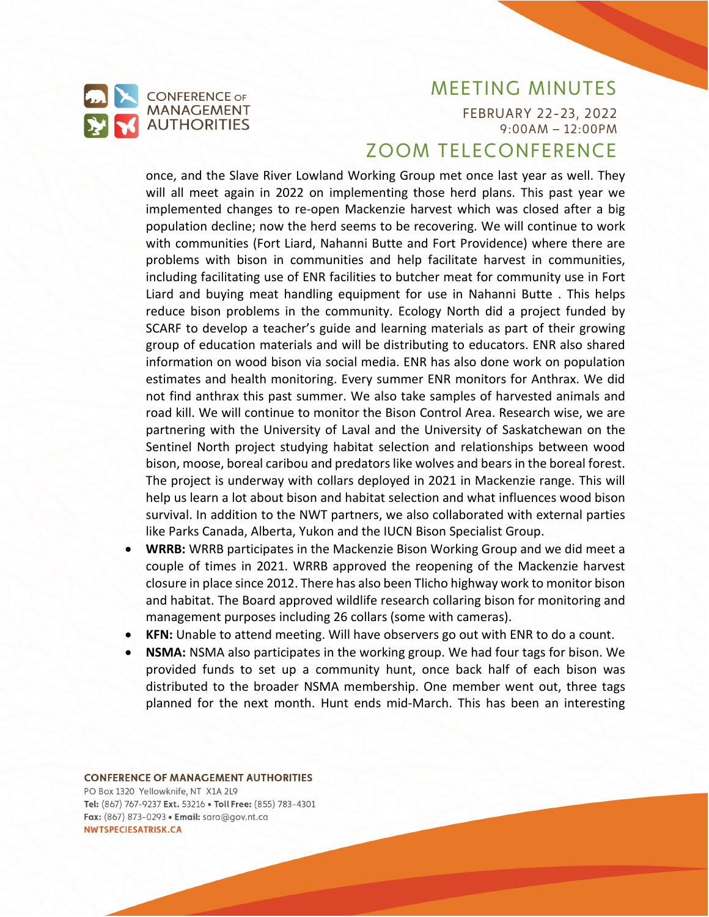

FEBRUARY 22-23, 2022 9:00AM – 12:00PM

## ZOOM TELECONFERENCE

once, and the Slave River Lowland Working Group met once last year as well. They will all meet again in 2022 on implementing those herd plans. This past year we implemented changes to re-open Mackenzie harvest which was closed after a big population decline; now the herd seems to be recovering. We will continue to work with communities (Fort Liard, Nahanni Butte and Fort Providence) where there are problems with bison in communities and help facilitate harvest in communities, including facilitating use of ENR facilities to butcher meat for community use in Fort Liard and buying meat handling equipment for use in Nahanni Butte . This helps reduce bison problems in the community. Ecology North did a project funded by SCARF to develop a teacher's guide and learning materials as part of their growing group of education materials and will be distributing to educators. ENR also shared information on wood bison via social media. ENR has also done work on population estimates and health monitoring. Every summer ENR monitors for Anthrax. We did not find anthrax this past summer. We also take samples of harvested animals and road kill. We will continue to monitor the Bison Control Area. Research wise, we are partnering with the University of Laval and the University of Saskatchewan on the Sentinel North project studying habitat selection and relationships between wood bison, moose, boreal caribou and predators like wolves and bears in the boreal forest. The project is underway with collars deployed in 2021 in Mackenzie range. This will help us learn a lot about bison and habitat selection and what influences wood bison survival. In addition to the NWT partners, we also collaborated with external parties like Parks Canada, Alberta, Yukon and the IUCN Bison Specialist Group.

- **WRRB:** WRRB participates in the Mackenzie Bison Working Group and we did meet a couple of times in 2021. WRRB approved the reopening of the Mackenzie harvest closure in place since 2012. There has also been Tlicho highway work to monitor bison and habitat. The Board approved wildlife research collaring bison for monitoring and management purposes including 26 collars (some with cameras).
- **KFN:** Unable to attend meeting. Will have observers go out with ENR to do a count.
- **NSMA:** NSMA also participates in the working group. We had four tags for bison. We provided funds to set up a community hunt, once back half of each bison was distributed to the broader NSMA membership. One member went out, three tags planned for the next month. Hunt ends mid-March. This has been an interesting

#### **CONFERENCE OF MANAGEMENT AUTHORITIES**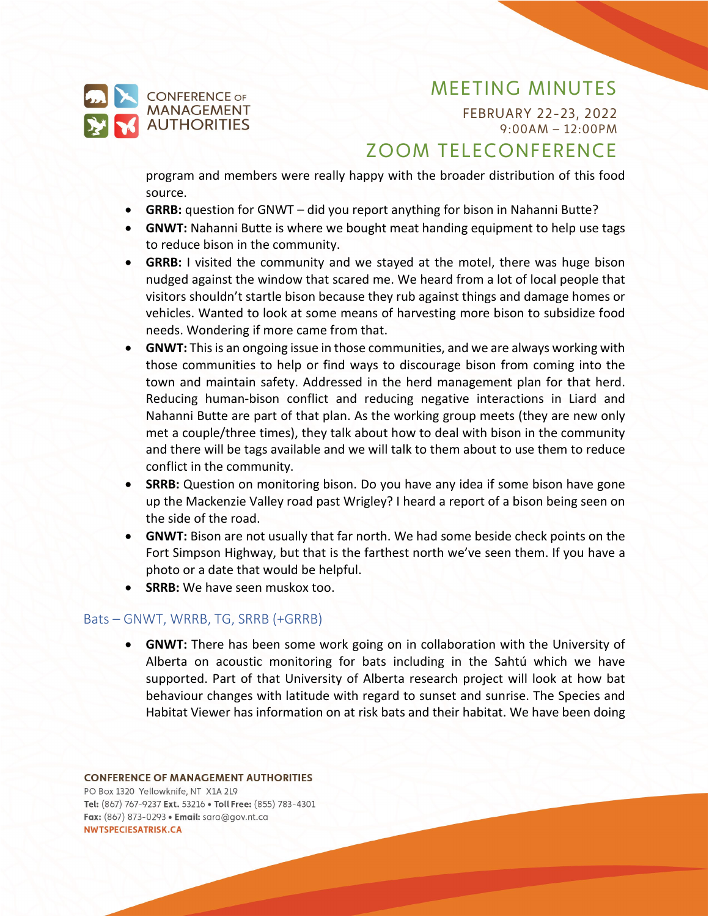

FEBRUARY 22-23, 2022 9:00AM – 12:00PM

# ZOOM TELECONFERENCE

program and members were really happy with the broader distribution of this food source.

- **GRRB:** question for GNWT did you report anything for bison in Nahanni Butte?
- **GNWT:** Nahanni Butte is where we bought meat handing equipment to help use tags to reduce bison in the community.
- **GRRB:** I visited the community and we stayed at the motel, there was huge bison nudged against the window that scared me. We heard from a lot of local people that visitors shouldn't startle bison because they rub against things and damage homes or vehicles. Wanted to look at some means of harvesting more bison to subsidize food needs. Wondering if more came from that.
- **GNWT:** This is an ongoing issue in those communities, and we are always working with those communities to help or find ways to discourage bison from coming into the town and maintain safety. Addressed in the herd management plan for that herd. Reducing human-bison conflict and reducing negative interactions in Liard and Nahanni Butte are part of that plan. As the working group meets (they are new only met a couple/three times), they talk about how to deal with bison in the community and there will be tags available and we will talk to them about to use them to reduce conflict in the community.
- **SRRB:** Question on monitoring bison. Do you have any idea if some bison have gone up the Mackenzie Valley road past Wrigley? I heard a report of a bison being seen on the side of the road.
- **GNWT:** Bison are not usually that far north. We had some beside check points on the Fort Simpson Highway, but that is the farthest north we've seen them. If you have a photo or a date that would be helpful.
- **SRRB:** We have seen muskox too.

#### Bats – GNWT, WRRB, TG, SRRB (+GRRB)

• **GNWT:** There has been some work going on in collaboration with the University of Alberta on acoustic monitoring for bats including in the Sahtú which we have supported. Part of that University of Alberta research project will look at how bat behaviour changes with latitude with regard to sunset and sunrise. The Species and Habitat Viewer has information on at risk bats and their habitat. We have been doing

#### **CONFERENCE OF MANAGEMENT AUTHORITIES** PO Box 1320 Yellowknife, NT X1A 2L9 Tel: (867) 767-9237 Ext. 53216 . Toll Free: (855) 783-4301

Fax: (867) 873-0293 · Email: sara@gov.nt.ca NWTSPECIESATRISK.CA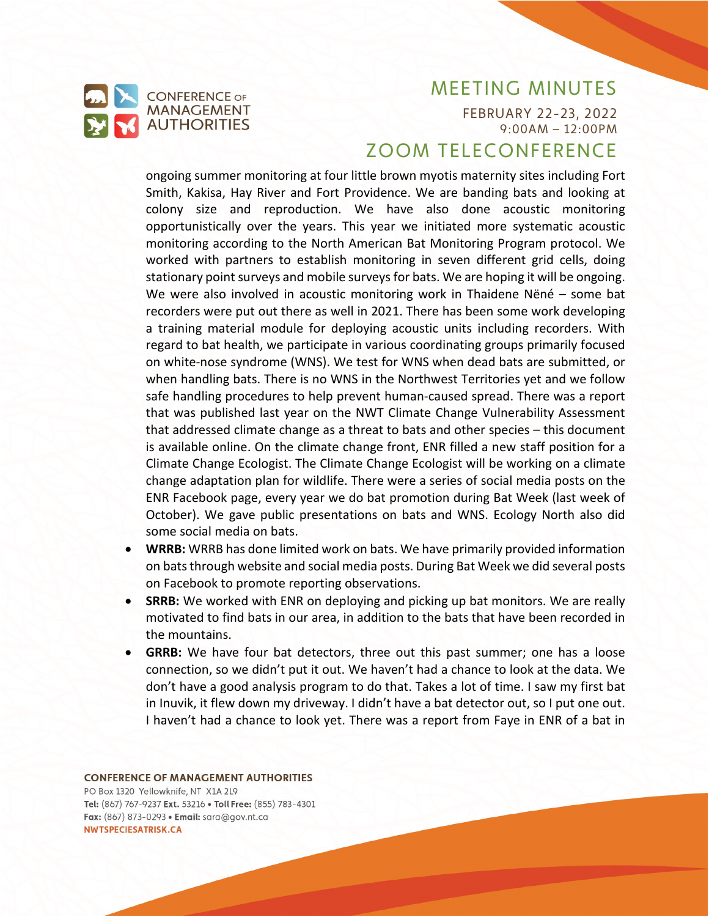

FEBRUARY 22-23, 2022 9:00AM – 12:00PM

# ZOOM TELECONFERENCE

ongoing summer monitoring at four little brown myotis maternity sites including Fort Smith, Kakisa, Hay River and Fort Providence. We are banding bats and looking at colony size and reproduction. We have also done acoustic monitoring opportunistically over the years. This year we initiated more systematic acoustic monitoring according to the North American Bat Monitoring Program protocol. We worked with partners to establish monitoring in seven different grid cells, doing stationary point surveys and mobile surveys for bats. We are hoping it will be ongoing. We were also involved in acoustic monitoring work in Thaidene Nëné – some bat recorders were put out there as well in 2021. There has been some work developing a training material module for deploying acoustic units including recorders. With regard to bat health, we participate in various coordinating groups primarily focused on white-nose syndrome (WNS). We test for WNS when dead bats are submitted, or when handling bats. There is no WNS in the Northwest Territories yet and we follow safe handling procedures to help prevent human-caused spread. There was a report that was published last year on the NWT Climate Change Vulnerability Assessment that addressed climate change as a threat to bats and other species – this document is available online. On the climate change front, ENR filled a new staff position for a Climate Change Ecologist. The Climate Change Ecologist will be working on a climate change adaptation plan for wildlife. There were a series of social media posts on the ENR Facebook page, every year we do bat promotion during Bat Week (last week of October). We gave public presentations on bats and WNS. Ecology North also did some social media on bats.

- **WRRB:** WRRB has done limited work on bats. We have primarily provided information on bats through website and social media posts. During Bat Week we did several posts on Facebook to promote reporting observations.
- **SRRB:** We worked with ENR on deploying and picking up bat monitors. We are really motivated to find bats in our area, in addition to the bats that have been recorded in the mountains.
- **GRRB:** We have four bat detectors, three out this past summer; one has a loose connection, so we didn't put it out. We haven't had a chance to look at the data. We don't have a good analysis program to do that. Takes a lot of time. I saw my first bat in Inuvik, it flew down my driveway. I didn't have a bat detector out, so I put one out. I haven't had a chance to look yet. There was a report from Faye in ENR of a bat in

#### **CONFERENCE OF MANAGEMENT AUTHORITIES**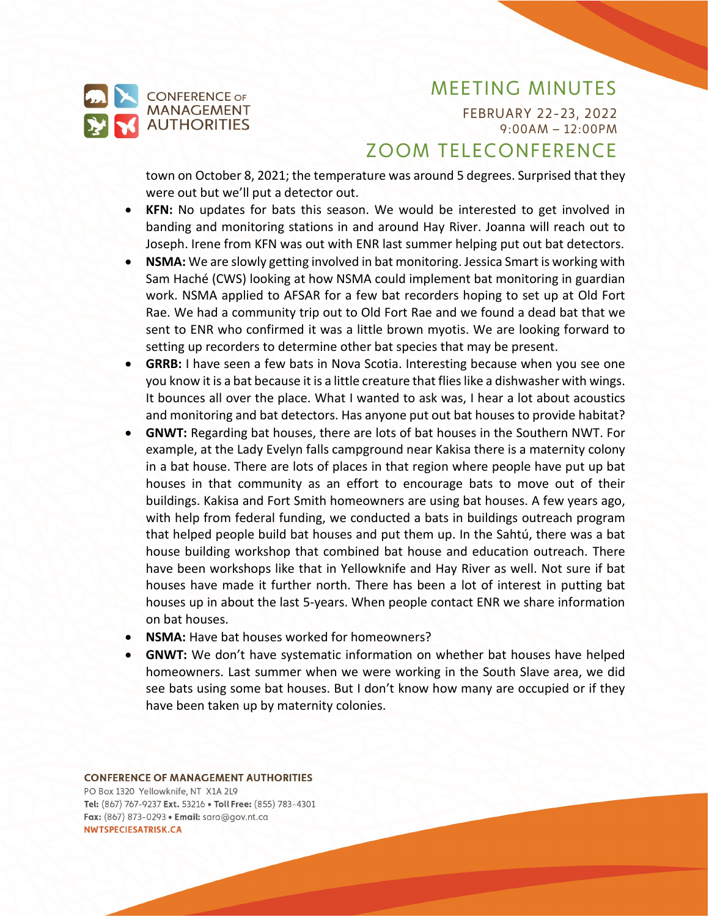FEBRUARY 22-23, 2022 9:00AM – 12:00PM

# ZOOM TELECONFERENCE

town on October 8, 2021; the temperature was around 5 degrees. Surprised that they were out but we'll put a detector out.

- **KFN:** No updates for bats this season. We would be interested to get involved in banding and monitoring stations in and around Hay River. Joanna will reach out to Joseph. Irene from KFN was out with ENR last summer helping put out bat detectors.
- **NSMA:** We are slowly getting involved in bat monitoring. Jessica Smart is working with Sam Haché (CWS) looking at how NSMA could implement bat monitoring in guardian work. NSMA applied to AFSAR for a few bat recorders hoping to set up at Old Fort Rae. We had a community trip out to Old Fort Rae and we found a dead bat that we sent to ENR who confirmed it was a little brown myotis. We are looking forward to setting up recorders to determine other bat species that may be present.
- **GRRB:** I have seen a few bats in Nova Scotia. Interesting because when you see one you know it is a bat because it is a little creature that flies like a dishwasher with wings. It bounces all over the place. What I wanted to ask was, I hear a lot about acoustics and monitoring and bat detectors. Has anyone put out bat houses to provide habitat?
- **GNWT:** Regarding bat houses, there are lots of bat houses in the Southern NWT. For example, at the Lady Evelyn falls campground near Kakisa there is a maternity colony in a bat house. There are lots of places in that region where people have put up bat houses in that community as an effort to encourage bats to move out of their buildings. Kakisa and Fort Smith homeowners are using bat houses. A few years ago, with help from federal funding, we conducted a bats in buildings outreach program that helped people build bat houses and put them up. In the Sahtú, there was a bat house building workshop that combined bat house and education outreach. There have been workshops like that in Yellowknife and Hay River as well. Not sure if bat houses have made it further north. There has been a lot of interest in putting bat houses up in about the last 5-years. When people contact ENR we share information on bat houses.
- **NSMA:** Have bat houses worked for homeowners?
- **GNWT:** We don't have systematic information on whether bat houses have helped homeowners. Last summer when we were working in the South Slave area, we did see bats using some bat houses. But I don't know how many are occupied or if they have been taken up by maternity colonies.

#### **CONFERENCE OF MANAGEMENT AUTHORITIES**

**CONFERENCE OF MANAGEMENT AUTHORITIES**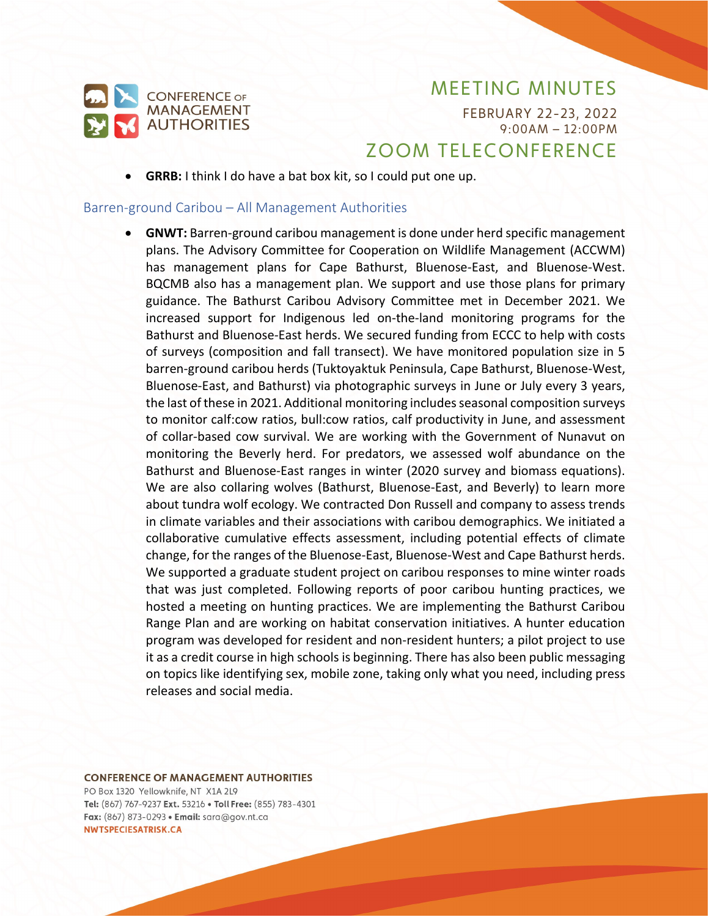

FEBRUARY 22-23, 2022 9:00AM – 12:00PM

# ZOOM TELECONFERENCE

• **GRRB:** I think I do have a bat box kit, so I could put one up.

#### Barren-ground Caribou – All Management Authorities

• **GNWT:** Barren-ground caribou management is done under herd specific management plans. The Advisory Committee for Cooperation on Wildlife Management (ACCWM) has management plans for Cape Bathurst, Bluenose-East, and Bluenose-West. BQCMB also has a management plan. We support and use those plans for primary guidance. The Bathurst Caribou Advisory Committee met in December 2021. We increased support for Indigenous led on-the-land monitoring programs for the Bathurst and Bluenose-East herds. We secured funding from ECCC to help with costs of surveys (composition and fall transect). We have monitored population size in 5 barren-ground caribou herds (Tuktoyaktuk Peninsula, Cape Bathurst, Bluenose-West, Bluenose-East, and Bathurst) via photographic surveys in June or July every 3 years, the last of these in 2021. Additional monitoring includes seasonal composition surveys to monitor calf:cow ratios, bull:cow ratios, calf productivity in June, and assessment of collar-based cow survival. We are working with the Government of Nunavut on monitoring the Beverly herd. For predators, we assessed wolf abundance on the Bathurst and Bluenose-East ranges in winter (2020 survey and biomass equations). We are also collaring wolves (Bathurst, Bluenose-East, and Beverly) to learn more about tundra wolf ecology. We contracted Don Russell and company to assess trends in climate variables and their associations with caribou demographics. We initiated a collaborative cumulative effects assessment, including potential effects of climate change, for the ranges of the Bluenose-East, Bluenose-West and Cape Bathurst herds. We supported a graduate student project on caribou responses to mine winter roads that was just completed. Following reports of poor caribou hunting practices, we hosted a meeting on hunting practices. We are implementing the Bathurst Caribou Range Plan and are working on habitat conservation initiatives. A hunter education program was developed for resident and non-resident hunters; a pilot project to use it as a credit course in high schools is beginning. There has also been public messaging on topics like identifying sex, mobile zone, taking only what you need, including press releases and social media.

**CONFERENCE OF MANAGEMENT AUTHORITIES**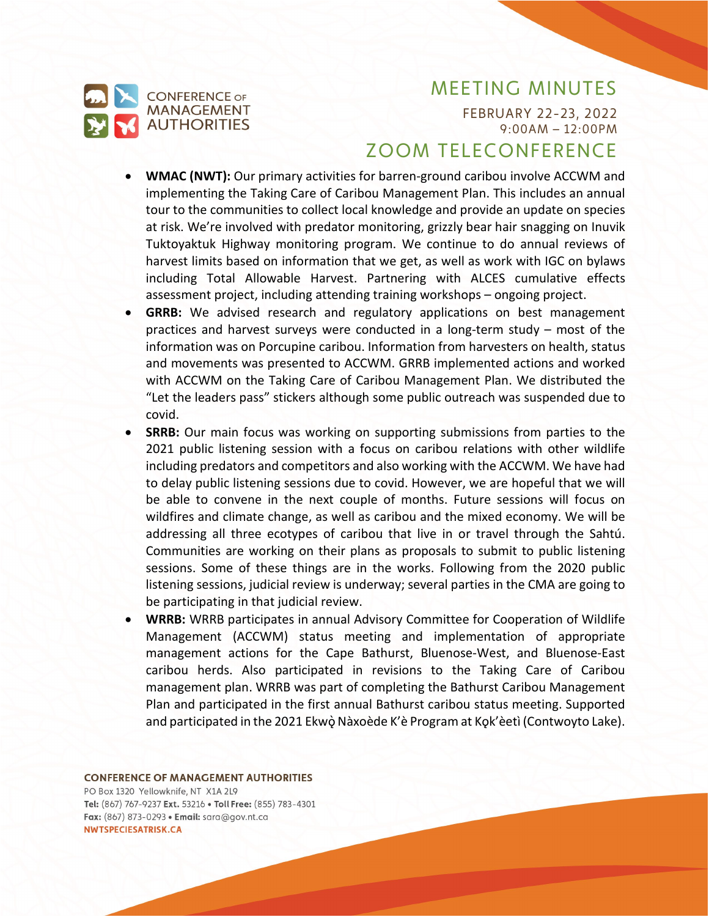

FEBRUARY 22-23, 2022 9:00AM – 12:00PM

# ZOOM TELECONFERENCE

- **WMAC (NWT):** Our primary activities for barren-ground caribou involve ACCWM and implementing the Taking Care of Caribou Management Plan. This includes an annual tour to the communities to collect local knowledge and provide an update on species at risk. We're involved with predator monitoring, grizzly bear hair snagging on Inuvik Tuktoyaktuk Highway monitoring program. We continue to do annual reviews of harvest limits based on information that we get, as well as work with IGC on bylaws including Total Allowable Harvest. Partnering with ALCES cumulative effects assessment project, including attending training workshops – ongoing project.
- **GRRB:** We advised research and regulatory applications on best management practices and harvest surveys were conducted in a long-term study – most of the information was on Porcupine caribou. Information from harvesters on health, status and movements was presented to ACCWM. GRRB implemented actions and worked with ACCWM on the Taking Care of Caribou Management Plan. We distributed the "Let the leaders pass" stickers although some public outreach was suspended due to covid.
- **SRRB:** Our main focus was working on supporting submissions from parties to the 2021 public listening session with a focus on caribou relations with other wildlife including predators and competitors and also working with the ACCWM. We have had to delay public listening sessions due to covid. However, we are hopeful that we will be able to convene in the next couple of months. Future sessions will focus on wildfires and climate change, as well as caribou and the mixed economy. We will be addressing all three ecotypes of caribou that live in or travel through the Sahtú. Communities are working on their plans as proposals to submit to public listening sessions. Some of these things are in the works. Following from the 2020 public listening sessions, judicial review is underway; several parties in the CMA are going to be participating in that judicial review.
- **WRRB:** WRRB participates in annual Advisory Committee for Cooperation of Wildlife Management (ACCWM) status meeting and implementation of appropriate management actions for the Cape Bathurst, Bluenose-West, and Bluenose-East caribou herds. Also participated in revisions to the Taking Care of Caribou management plan. WRRB was part of completing the Bathurst Caribou Management Plan and participated in the first annual Bathurst caribou status meeting. Supported and participated in the 2021 Ekwò Nàxoède K'è Program at Kok'èetì (Contwoyto Lake).

#### **CONFERENCE OF MANAGEMENT AUTHORITIES**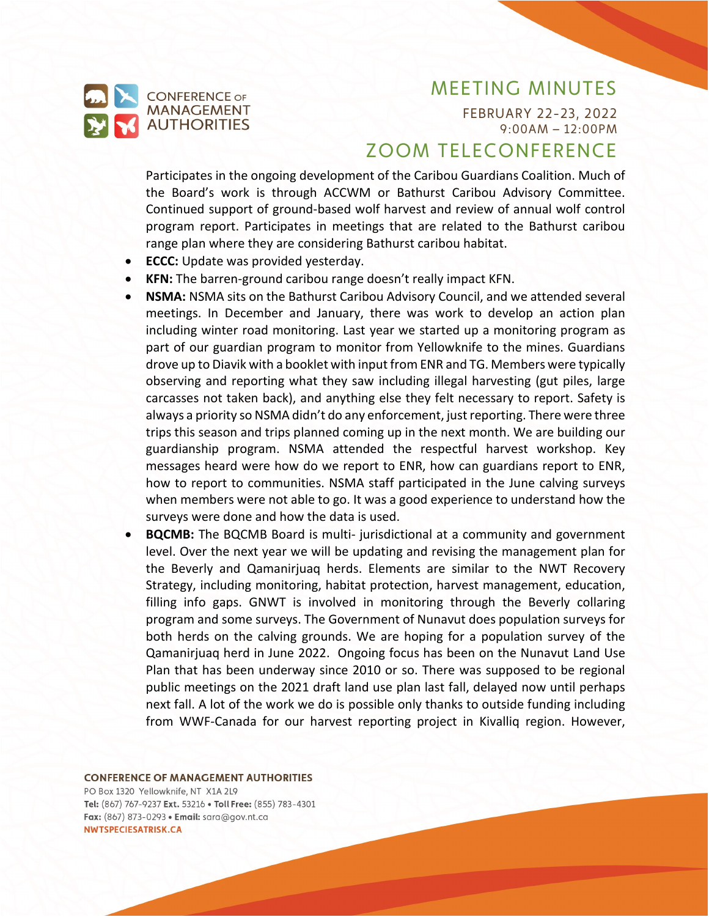

FEBRUARY 22-23, 2022 9:00AM – 12:00PM

## ZOOM TELECONFERENCE

Participates in the ongoing development of the Caribou Guardians Coalition. Much of the Board's work is through ACCWM or Bathurst Caribou Advisory Committee. Continued support of ground-based wolf harvest and review of annual wolf control program report. Participates in meetings that are related to the Bathurst caribou range plan where they are considering Bathurst caribou habitat.

- **ECCC:** Update was provided yesterday.
- **KFN:** The barren-ground caribou range doesn't really impact KFN.
- **NSMA:** NSMA sits on the Bathurst Caribou Advisory Council, and we attended several meetings. In December and January, there was work to develop an action plan including winter road monitoring. Last year we started up a monitoring program as part of our guardian program to monitor from Yellowknife to the mines. Guardians drove up to Diavik with a booklet with input from ENR and TG. Members were typically observing and reporting what they saw including illegal harvesting (gut piles, large carcasses not taken back), and anything else they felt necessary to report. Safety is always a priority so NSMA didn't do any enforcement, just reporting. There were three trips this season and trips planned coming up in the next month. We are building our guardianship program. NSMA attended the respectful harvest workshop. Key messages heard were how do we report to ENR, how can guardians report to ENR, how to report to communities. NSMA staff participated in the June calving surveys when members were not able to go. It was a good experience to understand how the surveys were done and how the data is used.
- **BQCMB:** The BQCMB Board is multi- jurisdictional at a community and government level. Over the next year we will be updating and revising the management plan for the Beverly and Qamanirjuaq herds. Elements are similar to the NWT Recovery Strategy, including monitoring, habitat protection, harvest management, education, filling info gaps. GNWT is involved in monitoring through the Beverly collaring program and some surveys. The Government of Nunavut does population surveys for both herds on the calving grounds. We are hoping for a population survey of the Qamanirjuaq herd in June 2022. Ongoing focus has been on the Nunavut Land Use Plan that has been underway since 2010 or so. There was supposed to be regional public meetings on the 2021 draft land use plan last fall, delayed now until perhaps next fall. A lot of the work we do is possible only thanks to outside funding including from WWF-Canada for our harvest reporting project in Kivalliq region. However,

#### **CONFERENCE OF MANAGEMENT AUTHORITIES**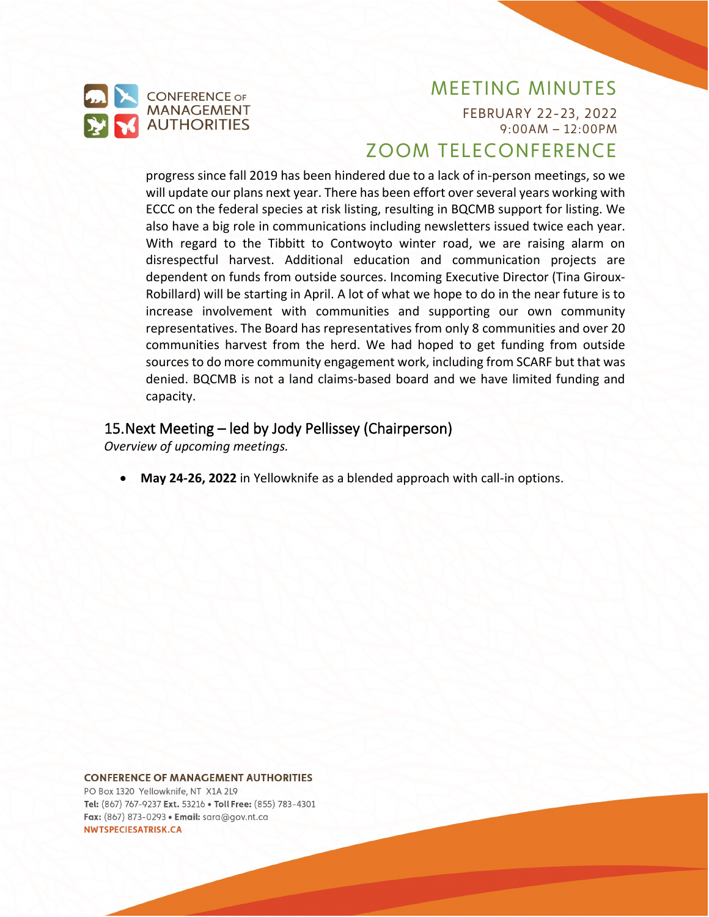

FEBRUARY 22-23, 2022 9:00AM – 12:00PM

# ZOOM TELECONFERENCE

progress since fall 2019 has been hindered due to a lack of in-person meetings, so we will update our plans next year. There has been effort over several years working with ECCC on the federal species at risk listing, resulting in BQCMB support for listing. We also have a big role in communications including newsletters issued twice each year. With regard to the Tibbitt to Contwoyto winter road, we are raising alarm on disrespectful harvest. Additional education and communication projects are dependent on funds from outside sources. Incoming Executive Director (Tina Giroux-Robillard) will be starting in April. A lot of what we hope to do in the near future is to increase involvement with communities and supporting our own community representatives. The Board has representatives from only 8 communities and over 20 communities harvest from the herd. We had hoped to get funding from outside sources to do more community engagement work, including from SCARF but that was denied. BQCMB is not a land claims-based board and we have limited funding and capacity.

### 15.Next Meeting – led by Jody Pellissey (Chairperson)

*Overview of upcoming meetings.*

• **May 24-26, 2022** in Yellowknife as a blended approach with call-in options.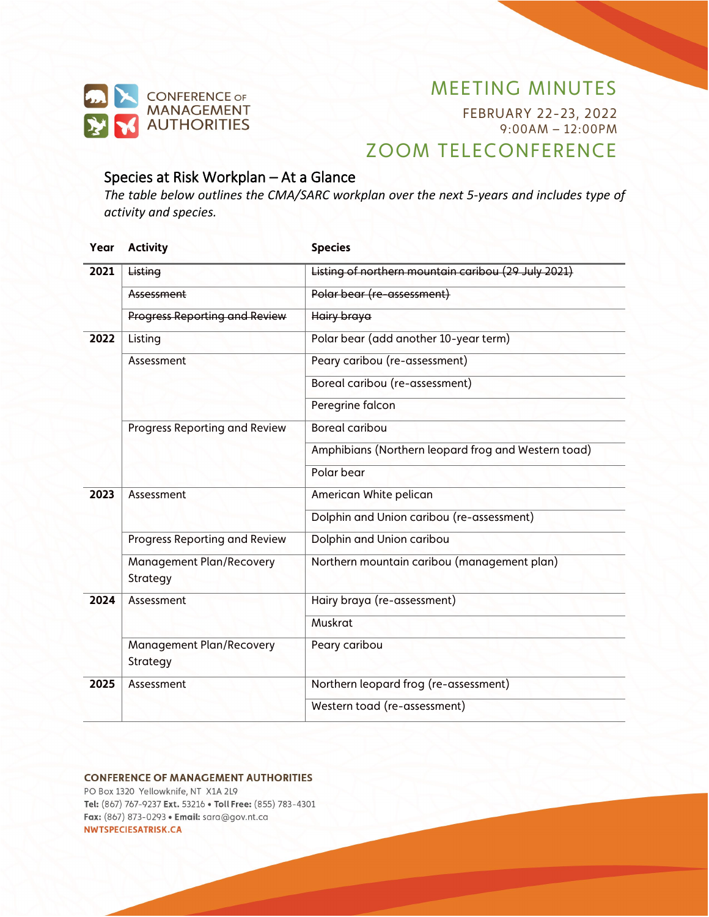

FEBRUARY 22-23, 2022 9:00AM – 12:00PM

# ZOOM TELECONFERENCE

### Species at Risk Workplan – At a Glance

*The table below outlines the CMA/SARC workplan over the next 5-years and includes type of activity and species.*

| Year | <b>Activity</b>                      | <b>Species</b>                                      |
|------|--------------------------------------|-----------------------------------------------------|
| 2021 | Listing                              | Listing of northern mountain caribou (29 July 2021) |
|      | Assessment                           | Polar bear (re-assessment)                          |
|      | <b>Progress Reporting and Review</b> | <b>Hairy braya</b>                                  |
| 2022 | Listing                              | Polar bear (add another 10-year term)               |
|      | Assessment                           | Peary caribou (re-assessment)                       |
|      |                                      | Boreal caribou (re-assessment)                      |
|      |                                      | Peregrine falcon                                    |
|      | Progress Reporting and Review        | <b>Boreal caribou</b>                               |
|      |                                      | Amphibians (Northern leopard frog and Western toad) |
|      |                                      | Polar bear                                          |
| 2023 | Assessment                           | American White pelican                              |
|      |                                      | Dolphin and Union caribou (re-assessment)           |
|      | Progress Reporting and Review        | Dolphin and Union caribou                           |
|      | Management Plan/Recovery<br>Strategy | Northern mountain caribou (management plan)         |
| 2024 | Assessment                           | Hairy braya (re-assessment)                         |
|      |                                      | Muskrat                                             |
|      | Management Plan/Recovery<br>Strategy | Peary caribou                                       |
| 2025 | Assessment                           | Northern leopard frog (re-assessment)               |
|      |                                      | Western toad (re-assessment)                        |

#### **CONFERENCE OF MANAGEMENT AUTHORITIES**